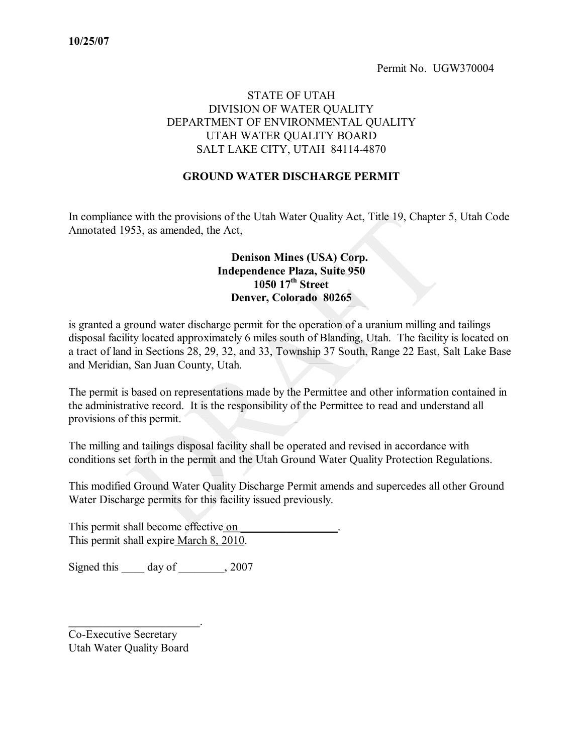### STATE OF UTAH DIVISION OF WATER QUALITY DEPARTMENT OF ENVIRONMENTAL QUALITY UTAH WATER QUALITY BOARD SALT LAKE CITY, UTAH 84114-4870

#### **GROUND WATER DISCHARGE PERMIT**

In compliance with the provisions of the Utah Water Quality Act, Title 19, Chapter 5, Utah Code Annotated 1953, as amended, the Act,

#### **Denison Mines (USA) Corp. Independence Plaza, Suite 950 1050 17 th Street Denver, Colorado 80265**

is granted a ground water discharge permit for the operation of a uranium milling and tailings disposal facility located approximately 6 miles south of Blanding, Utah. The facility is located on a tract of land in Sections 28, 29, 32, and 33, Township 37 South, Range 22 East, Salt Lake Base and Meridian, San Juan County, Utah.

The permit is based on representations made by the Permittee and other information contained in the administrative record. It is the responsibility of the Permittee to read and understand all provisions of this permit.

The milling and tailings disposal facility shall be operated and revised in accordance with conditions set forth in the permit and the Utah Ground Water Quality Protection Regulations.

This modified Ground Water Quality Discharge Permit amends and supercedes all other Ground Water Discharge permits for this facility issued previously.

This permit shall become effective on This permit shall expire March 8, 2010.

Signed this \_\_\_\_\_ day of \_\_\_\_\_\_\_, 2007

Co-Executive Secretary Utah Water Quality Board

\_\_\_\_\_\_\_\_\_\_\_\_\_\_\_\_\_\_\_\_\_\_\_.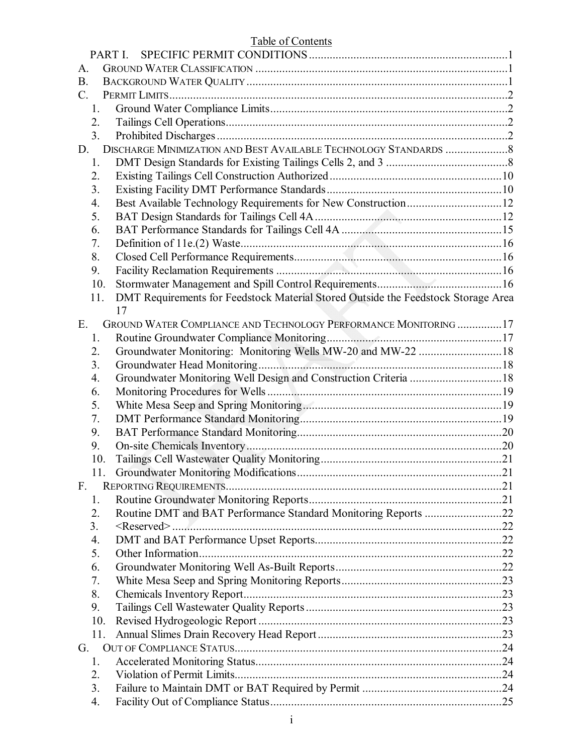| <b>Table of Contents</b>                                                                 |  |
|------------------------------------------------------------------------------------------|--|
| PART I.                                                                                  |  |
| A.                                                                                       |  |
| <b>B.</b>                                                                                |  |
| $\mathcal{C}$ .                                                                          |  |
| 1.                                                                                       |  |
| 2.                                                                                       |  |
| 3 <sub>1</sub>                                                                           |  |
| D.                                                                                       |  |
| 1.                                                                                       |  |
| 2.                                                                                       |  |
| 3 <sub>1</sub>                                                                           |  |
| 4.                                                                                       |  |
| 5.                                                                                       |  |
| 6.                                                                                       |  |
| 7.                                                                                       |  |
| 8.                                                                                       |  |
| 9.                                                                                       |  |
| 10.                                                                                      |  |
| DMT Requirements for Feedstock Material Stored Outside the Feedstock Storage Area<br>11. |  |
| 17                                                                                       |  |
| GROUND WATER COMPLIANCE AND TECHNOLOGY PERFORMANCE MONITORING 17<br>E.                   |  |
| 1.                                                                                       |  |
| Groundwater Monitoring: Monitoring Wells MW-20 and MW-22  18<br>2.                       |  |
| 3.                                                                                       |  |
| Groundwater Monitoring Well Design and Construction Criteria  18<br>4.                   |  |
| 6.                                                                                       |  |
| 5.                                                                                       |  |
| 7.                                                                                       |  |
| 9.                                                                                       |  |
| 9.                                                                                       |  |
| 10.                                                                                      |  |
| 11.                                                                                      |  |
| $F_{\cdot}$                                                                              |  |
| 1.                                                                                       |  |
| Routine DMT and BAT Performance Standard Monitoring Reports 22<br>2.                     |  |
| 3.                                                                                       |  |
| 4.                                                                                       |  |
| 5.                                                                                       |  |
| 6.                                                                                       |  |
| 7.                                                                                       |  |
| 8.                                                                                       |  |
| 9.                                                                                       |  |
| 10.                                                                                      |  |
| 11.                                                                                      |  |
| G.                                                                                       |  |
| 1.                                                                                       |  |
| 2.                                                                                       |  |
| 3.                                                                                       |  |
| 4.                                                                                       |  |
|                                                                                          |  |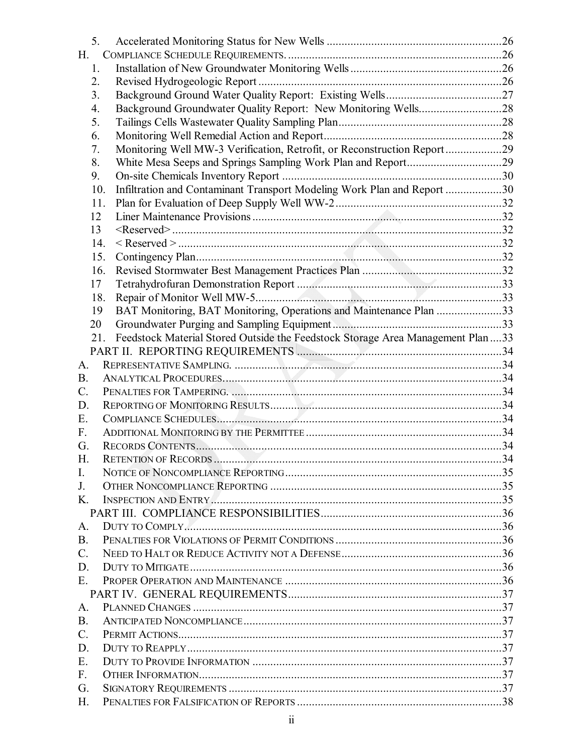| 5.              |                                                                                  |    |
|-----------------|----------------------------------------------------------------------------------|----|
| $H_{\cdot}$     |                                                                                  |    |
| 1.              |                                                                                  |    |
| 2.              |                                                                                  |    |
| 3 <sub>1</sub>  |                                                                                  |    |
| 4.              |                                                                                  |    |
| 5.              |                                                                                  |    |
| 6.              |                                                                                  |    |
| 7.              | Monitoring Well MW-3 Verification, Retrofit, or Reconstruction Report29          |    |
| 8.              |                                                                                  |    |
| 9.              |                                                                                  |    |
|                 | Infiltration and Contaminant Transport Modeling Work Plan and Report 30<br>10.   |    |
|                 | 11.                                                                              |    |
| 12              |                                                                                  |    |
| 13              |                                                                                  |    |
|                 | 14.                                                                              |    |
|                 | 15.                                                                              |    |
|                 | 16.                                                                              |    |
| 17              |                                                                                  |    |
|                 | 18.                                                                              |    |
| 19              | BAT Monitoring, BAT Monitoring, Operations and Maintenance Plan 33               |    |
| 20              |                                                                                  |    |
|                 | 21.                                                                              |    |
|                 | Feedstock Material Stored Outside the Feedstock Storage Area Management Plan  33 |    |
| $A_{\cdot}$     |                                                                                  |    |
| <b>B.</b>       |                                                                                  |    |
|                 |                                                                                  |    |
| $C$ .           |                                                                                  |    |
| D.              |                                                                                  |    |
| Ε.              |                                                                                  |    |
| $F_{\cdot}$     |                                                                                  |    |
| G.              |                                                                                  |    |
| H.              | <b>RETENTION OF RECORDS</b>                                                      | 34 |
| L.              |                                                                                  |    |
| J.              |                                                                                  |    |
| $K_{\cdot}$     |                                                                                  |    |
|                 |                                                                                  |    |
| A.              |                                                                                  |    |
| <b>B.</b>       |                                                                                  |    |
| $C_{\cdot}$     |                                                                                  |    |
| D.              |                                                                                  |    |
| E.              |                                                                                  |    |
|                 |                                                                                  |    |
| A.              |                                                                                  |    |
| <b>B.</b>       |                                                                                  |    |
| $\mathcal{C}$ . |                                                                                  |    |
| D.              |                                                                                  |    |
| E.              |                                                                                  |    |
| $F_{\cdot}$     |                                                                                  |    |
| G.              |                                                                                  |    |
| H.              |                                                                                  |    |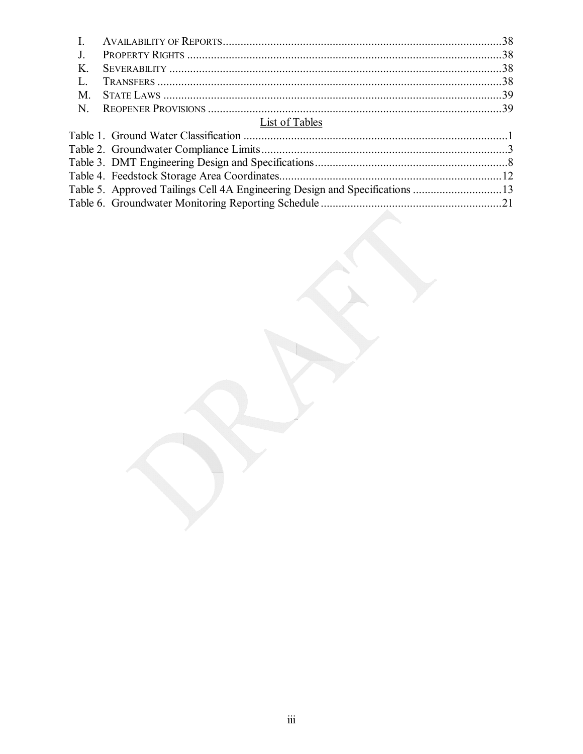| List of Tables                      |          |
|-------------------------------------|----------|
| Table 1 Ground Water Classification | $\sim$ 1 |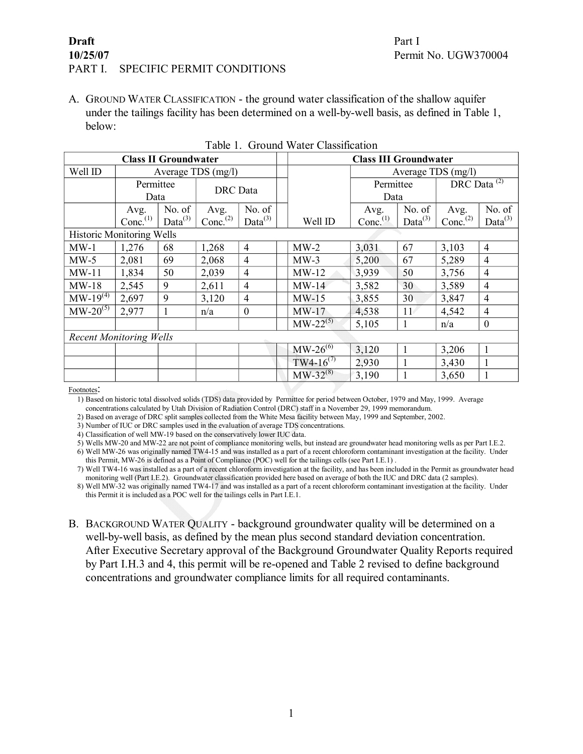#### **Draft** Part I **10/25/07** Permit No. UGW370004 PART I. SPECIFIC PERMIT CONDITIONS

<span id="page-4-0"></span>A. GROUND WATER CLASSIFICATION - the ground water classification of the shallow aquifer under the tailings facility has been determined on a well-by-well basis, as defined in Table 1, below:

<span id="page-4-3"></span>

|                                  |                                | <b>Class II Groundwater</b> |                      |                     |  |                | <b>Class III Groundwater</b> |                     |                              |                     |  |  |  |  |
|----------------------------------|--------------------------------|-----------------------------|----------------------|---------------------|--|----------------|------------------------------|---------------------|------------------------------|---------------------|--|--|--|--|
| Well ID                          |                                |                             | Average TDS $(mg/l)$ |                     |  |                |                              | Average TDS (mg/l)  |                              |                     |  |  |  |  |
|                                  | Permittee                      |                             | <b>DRC</b> Data      |                     |  |                | Permittee                    |                     | DRC Data $\overline{^{(2)}}$ |                     |  |  |  |  |
|                                  | Data                           |                             |                      |                     |  |                | Data                         |                     |                              |                     |  |  |  |  |
|                                  | Avg.                           | No. of                      | Avg.                 | No. of              |  |                | Avg.                         | No. of              | Avg.                         | No. of              |  |  |  |  |
|                                  | Conc. $^{(1)}$                 | Data <sup>(3)</sup>         | Conc. <sup>(2)</sup> | Data <sup>(3)</sup> |  | Well ID        | Conc. <sup>(1)</sup>         | Data <sup>(3)</sup> | Conc. $^{(2)}$               | Data <sup>(3)</sup> |  |  |  |  |
| <b>Historic Monitoring Wells</b> |                                |                             |                      |                     |  |                |                              |                     |                              |                     |  |  |  |  |
| $MW-1$                           | 1,276                          | 68                          | 1,268                | $\overline{4}$      |  | $MW-2$         | 3,031                        | 67                  | 3,103                        | $\overline{4}$      |  |  |  |  |
| $MW-5$                           | 2,081                          | 69                          | 2,068                | 4                   |  | $MW-3$         | 5,200                        | 67                  | 5,289                        | $\overline{4}$      |  |  |  |  |
| $MW-11$                          | 1,834                          | 50                          | 2,039                | $\overline{4}$      |  | $MW-12$        | 3,939                        | 50                  | 3,756                        | $\overline{4}$      |  |  |  |  |
| $MW-18$                          | 2,545                          | 9                           | 2,611                | $\overline{4}$      |  | $MW-14$        | 3,582                        | 30                  | 3,589                        | $\overline{4}$      |  |  |  |  |
| $MW-19^{(4)}$                    | 2,697                          | 9                           | 3,120                | 4                   |  | $MW-15$        | 3,855                        | 30                  | 3,847                        | $\overline{4}$      |  |  |  |  |
| $MW-20^{(5)}$                    | 2,977                          |                             | n/a                  | $\theta$            |  | $MW-17$        | 4,538                        | 11 <sup>4</sup>     | 4,542                        | $\overline{4}$      |  |  |  |  |
|                                  |                                |                             |                      |                     |  | $MW-22^{(5)}$  | 5,105                        |                     | n/a                          | $\boldsymbol{0}$    |  |  |  |  |
|                                  | <b>Recent Monitoring Wells</b> |                             |                      |                     |  |                |                              |                     |                              |                     |  |  |  |  |
|                                  |                                |                             |                      |                     |  | $MW-26^{(6)}$  | 3,120                        | $\mathbf{1}$        | 3,206                        | 1                   |  |  |  |  |
|                                  |                                |                             |                      |                     |  | $TW4-16^{(7)}$ | 2,930                        |                     | 3,430                        |                     |  |  |  |  |
|                                  |                                |                             |                      |                     |  | $MW-32^{(8)}$  | 3,190                        |                     | 3,650                        |                     |  |  |  |  |

<span id="page-4-1"></span>Table 1. Ground Water Classification

Footnotes:

1) Based on historic total dissolved solids (TDS) data provided by Permittee for period between October, 1979 and May, 1999. Average concentrations calculated by Utah Division of Radiation Control (DRC) staff in a November 29, 1999 memorandum.

2) Based on average of DRC split samples collected from the White Mesa facility between May, 1999 and September, 2002.

3) Number of IUC or DRC samples used in the evaluation of average TDS concentrations.

4) Classification of well MW19 based on the conservatively lower IUC data.

5) Wells MW20 and MW22 are not point of compliance monitoring wells, but instead are groundwater head monitoring wells as per Part I.E.2.

6) Well MW26 was originally named TW415 and was installed as a part of a recent chloroform contaminant investigation at the facility. Under this Permit, MW26 is defined as a Point of Compliance (POC) well for the tailings cells (see Part I.E.1) .

7) Well TW416 was installed as a part of a recent chloroform investigation at the facility, and has been included in the Permit as groundwater head monitoring well (Part I.E.2). Groundwater classification provided here based on average of both the IUC and DRC data (2 samples).

<span id="page-4-2"></span>8) Well MW32 was originally named TW417 and was installed as a part of a recent chloroform contaminant investigation at the facility. Under this Permit it is included as a POC well for the tailings cells in Part I.E.1.

B. BACKGROUND WATER QUALITY - background groundwater quality will be determined on a well-by-well basis, as defined by the mean plus second standard deviation concentration. After Executive Secretary approval of the Background Groundwater Quality Reports required by Part I.H.3 and 4, this permit will be re-opened and Table 2 revised to define background concentrations and groundwater compliance limits for all required contaminants.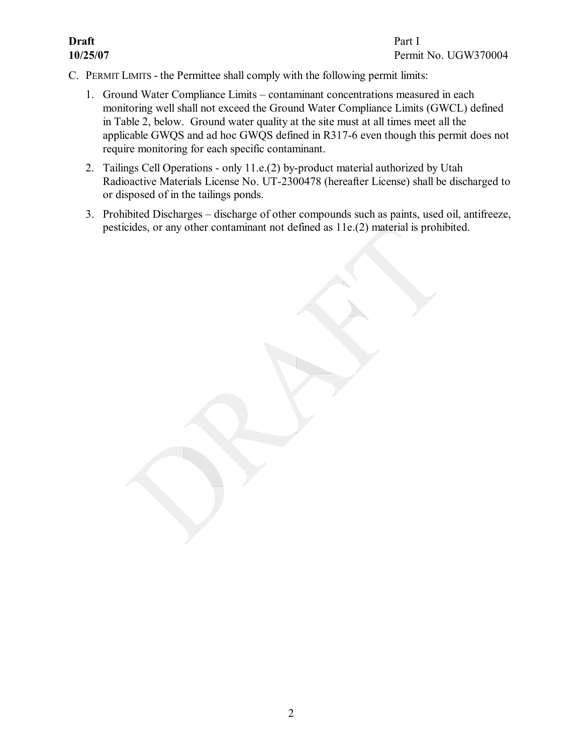- <span id="page-5-3"></span><span id="page-5-2"></span><span id="page-5-1"></span><span id="page-5-0"></span>C. PERMIT LIMITS - the Permittee shall comply with the following permit limits:
	- 1. Ground Water Compliance Limits contaminant concentrations measured in each monitoring well shall not exceed the Ground Water Compliance Limits (GWCL) defined in Table 2, below. Ground water quality at the site must at all times meet all the applicable GWQS and ad hoc GWQS defined in R317-6 even though this permit does not require monitoring for each specific contaminant.
	- 2. Tailings Cell Operations only  $11.e.(2)$  by-product material authorized by Utah Radioactive Materials License No. UT-2300478 (hereafter License) shall be discharged to or disposed of in the tailings ponds.
	- 3. Prohibited Discharges discharge of other compounds such as paints, used oil, antifreeze, pesticides, or any other contaminant not defined as 11e.(2) material is prohibited.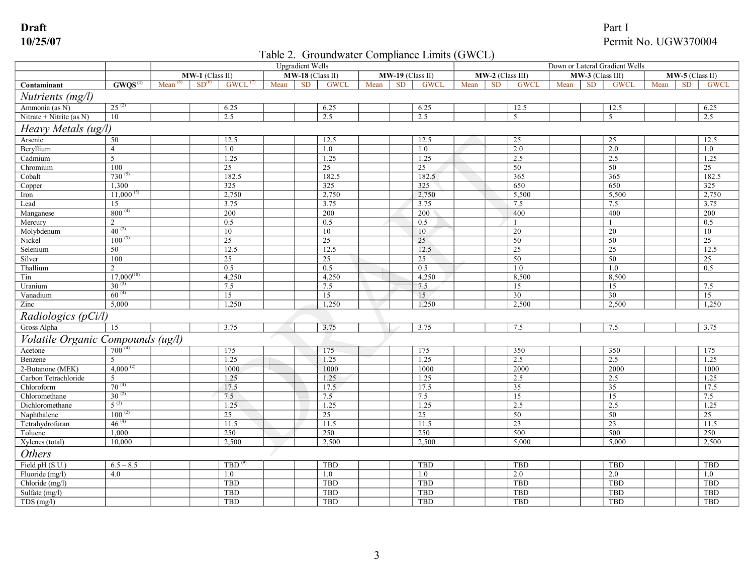## <span id="page-6-0"></span>Table 2. Groundwater Compliance Limits (GWCL)

|                                   |                     |               | <b>Upgradient Wells</b> |                       |      |                    |             |      |                    | Down or Lateral Gradient Wells |      |                  |                 |      |                  |                 |      |                 |             |
|-----------------------------------|---------------------|---------------|-------------------------|-----------------------|------|--------------------|-------------|------|--------------------|--------------------------------|------|------------------|-----------------|------|------------------|-----------------|------|-----------------|-------------|
|                                   |                     |               | $MW-1$ (Class II)       |                       |      | $MW-18$ (Class II) |             |      | $MW-19$ (Class II) |                                |      | MW-2 (Class III) |                 |      | MW-3 (Class III) |                 |      | MW-5 (Class II) |             |
| Contaminant                       | GWOS <sup>(1)</sup> | Mean $^{(6)}$ | SD <sup>(6)</sup>       | $GWCL$ <sup>(7)</sup> | Mean | <b>SD</b>          | <b>GWCI</b> | Mean | <b>SD</b>          | <b>GWCL</b>                    | Mean | <b>SD</b>        | <b>GWCL</b>     | Mean | <b>SD</b>        | <b>GWCL</b>     | Mean | <b>SD</b>       | <b>GWCI</b> |
| Nutrients (mg/l)                  |                     |               |                         |                       |      |                    |             |      |                    |                                |      |                  |                 |      |                  |                 |      |                 |             |
| Ammonia (as N)                    | $25^{(2)}$          |               |                         | 6.25                  |      |                    | 6.25        |      |                    | 6.25                           |      |                  | 12.5            |      |                  | 12.5            |      |                 | 6.25        |
| Nitrate + Nitrite (as $N$ )       | 10                  |               |                         | 2.5                   |      |                    | 2.5         |      |                    | 2.5                            |      |                  | $\overline{5}$  |      |                  | 5               |      |                 | 2.5         |
| Heavy Metals (ug/l)               |                     |               |                         |                       |      |                    |             |      |                    |                                |      |                  |                 |      |                  |                 |      |                 |             |
| Arsenic                           | 50                  |               |                         | 12.5                  |      |                    | 12.5        |      |                    | 12.5                           |      |                  | 25              |      |                  | 25              |      |                 | 12.5        |
| Beryllium                         | $\overline{4}$      |               |                         | 1.0                   |      |                    | 1.0         |      |                    | 1.0                            |      |                  | 2.0             |      |                  | 2.0             |      |                 | 1.0         |
| Cadmium                           | $\overline{5}$      |               |                         | 1.25                  |      |                    | 1.25        |      |                    | 1.25                           |      |                  | 2.5             |      |                  | 2.5             |      |                 | 1.25        |
| Chromium                          | 100                 |               |                         | 25                    |      |                    | 25          |      |                    | 25                             |      |                  | 50              |      |                  | 50              |      |                 | 25          |
| Cobalt                            | $730^{(5)}$         |               |                         | 182.5                 |      |                    | 182.5       |      |                    | 182.5                          |      |                  | 365             |      |                  | 365             |      |                 | 182.5       |
| Copper                            | 1,300               |               |                         | 325                   |      |                    | 325         |      |                    | 325                            |      |                  | 650             |      |                  | 650             |      |                 | 325         |
| Iron                              | $11,000^{(5)}$      |               |                         | 2,750                 |      |                    | 2,750       |      |                    | 2,750                          |      |                  | 5,500           |      |                  | 5,500           |      |                 | 2,750       |
| Lead                              | 15                  |               |                         | 3.75                  |      |                    | 3.75        |      |                    | 3.75                           |      |                  | 7.5             |      |                  | 7.5             |      |                 | 3.75        |
| Manganese                         | $800^{(4)}$         |               |                         | 200                   |      |                    | 200         |      |                    | 200                            |      |                  | 400             |      |                  | 400             |      |                 | 200         |
| Mercury                           | 2                   |               |                         | 0.5                   |      |                    | 0.5         |      |                    | 0.5                            |      |                  |                 |      |                  |                 |      |                 | 0.5         |
| Molybdenum                        | $40^{(2)}$          |               |                         | 10                    |      |                    | 10          |      |                    | 10                             |      |                  | 20              |      |                  | 20              |      |                 | 10          |
| Nickel                            | $100^{(3)}$         |               |                         | 25                    |      |                    | 25          |      |                    | 25                             |      |                  | 50              |      |                  | 50              |      |                 | 25          |
| Selenium                          | 50                  |               |                         | 12.5                  |      |                    | 12.5        |      |                    | 12.5                           |      |                  | $\overline{25}$ |      |                  | $\overline{25}$ |      |                 | 12.5        |
| Silver                            | 100                 |               |                         | 25                    |      |                    | 25          |      |                    | 25                             |      |                  | 50              |      |                  | 50              |      |                 | 25          |
| Thallium                          | $\overline{2}$      |               |                         | 0.5                   |      |                    | 0.5         |      |                    | 0.5                            |      |                  | 1.0             |      |                  | 1.0             |      |                 | 0.5         |
| Tin                               | $17,000^{(10)}$     |               |                         | 4,250                 |      |                    | 4,250       |      |                    | 4,250                          |      |                  | 8,500           |      |                  | 8,500           |      |                 |             |
| Uranium                           | $30^{(3)}$          |               |                         | 7.5                   |      |                    | 7.5         |      |                    | 7.5                            |      |                  | 15              |      |                  | 15              |      |                 | 7.5         |
| Vanadium                          | $60^{(4)}$          |               |                         | 15                    |      |                    | 15          |      |                    | 15                             |      |                  | 30              |      |                  | $\overline{30}$ |      |                 | 15          |
| Zinc                              | 5,000               |               |                         | 1,250                 |      |                    | 1,250       |      |                    | 1,250                          |      |                  | 2,500           |      |                  | 2,500           |      |                 | 1,250       |
| Radiologics (pCi/l)               |                     |               |                         |                       |      |                    |             |      |                    |                                |      |                  |                 |      |                  |                 |      |                 |             |
| Gross Alpha                       | 15                  |               |                         | 3.75                  |      |                    | 3.75        |      |                    | 3.75                           |      |                  | 7.5             |      |                  | 7.5             |      |                 | 3.75        |
| Volatile Organic Compounds (ug/l) |                     |               |                         |                       |      |                    |             |      |                    |                                |      |                  |                 |      |                  |                 |      |                 |             |
| Acetone                           | $700^{(4)}$         |               |                         | 175                   |      |                    | 175         |      |                    | 175                            |      |                  | 350             |      |                  | 350             |      |                 | 175         |
| Benzene                           |                     |               |                         | 1.25                  |      |                    | 1.25        |      |                    | 1.25                           |      |                  | 2.5             |      |                  | 2.5             |      |                 | 1.25        |
| 2-Butanone (MEK)                  | 4,000 $^{(2)}$      |               |                         | 1000                  |      |                    | 1000        |      |                    | 1000                           |      |                  | 2000            |      |                  | 2000            |      |                 | 1000        |
| Carbon Tetrachloride              | 5                   |               |                         | 1.25                  |      |                    | 1.25        |      |                    | 1.25                           |      |                  | 2.5             |      |                  | 2.5             |      |                 | 1.25        |
| Chloroform                        | $70^{(4)}$          |               |                         | 17.5                  |      |                    | 17.5        |      |                    | 17.5                           |      |                  | 35              |      |                  | 35              |      |                 | 17.5        |
| Chloromethane                     | $30^{(2)}$          |               |                         | 7.5                   |      |                    | 7.5         |      |                    | 7.5                            |      |                  | 15              |      |                  | 15              |      |                 | 7.5         |
| Dichloromethane                   | $5^{(3)}$           |               |                         | 1.25                  |      |                    | 1.25        |      |                    | 1.25                           |      |                  | 2.5             |      |                  | 2.5             |      |                 | 1.25        |
| Naphthalene                       | $100^{(2)}$         |               |                         | 25                    |      |                    | 25          |      |                    | 25                             |      |                  | 50              |      |                  | 50              |      |                 | 25          |
| Tetrahydrofuran                   | $46^{(4)}$          |               |                         | 11.5                  |      |                    | 11.5        |      |                    | 11.5                           |      |                  | 23              |      |                  | $\overline{23}$ |      |                 | 11.5        |
| Toluene                           | 1,000               |               |                         | 250                   |      |                    | 250         |      |                    | 250                            |      |                  | 500             |      |                  | 500             |      |                 | 250         |
| Xylenes (total)                   | 10,000              |               |                         | 2,500                 |      |                    | 2,500       |      |                    | 2,500                          |      |                  | 5,000           |      |                  | 5,000           |      |                 | 2,500       |
| <b>Others</b>                     |                     |               |                         |                       |      |                    |             |      |                    |                                |      |                  |                 |      |                  |                 |      |                 |             |
| Field pH (S.U.)                   | $6.5 - 8.5$         |               |                         | TBD <sup>(9)</sup>    |      |                    | <b>TBD</b>  |      |                    | <b>TBD</b>                     |      |                  | <b>TBD</b>      |      |                  | <b>TBD</b>      |      |                 | <b>TBD</b>  |
| Fluoride (mg/l)                   | 4.0                 |               |                         | 1.0                   |      |                    | 1.0         |      |                    | 1.0                            |      |                  | 2.0             |      |                  | 2.0             |      |                 | 1.0         |
| Chloride (mg/l)                   |                     |               |                         | TBD                   |      |                    | TBD         |      |                    | TBD                            |      |                  | TBD             |      |                  | <b>TBD</b>      |      |                 | <b>TBD</b>  |
| Sulfate (mg/l)                    |                     |               |                         | TBD                   |      |                    | TBD         |      |                    | TBD                            |      |                  | <b>TBD</b>      |      |                  | <b>TBD</b>      |      |                 | <b>TBD</b>  |
| $TDS$ (mg/l)                      |                     |               |                         | TBD                   |      |                    | TBD         |      |                    | TBD                            |      |                  | TBD             |      |                  | TBD             |      |                 | TBD         |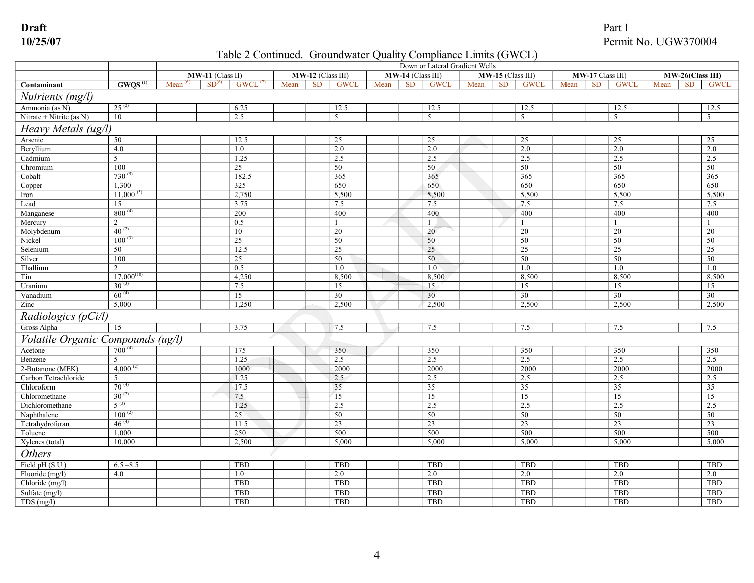## Table 2 Continued. Groundwater Quality Compliance Limits (GWCL)

|                                   |                     |               | Down or Lateral Gradient Wells |                       |      |                   |             |      |                   |                |      |                   |             |      |                  |                |      |                  |                 |
|-----------------------------------|---------------------|---------------|--------------------------------|-----------------------|------|-------------------|-------------|------|-------------------|----------------|------|-------------------|-------------|------|------------------|----------------|------|------------------|-----------------|
|                                   |                     |               | MW-11 (Class II)               |                       |      | MW-12 (Class III) |             |      | MW-14 (Class III) |                |      | MW-15 (Class III) |             |      | MW-17 Class III) |                |      | MW-26(Class III) |                 |
| Contaminant                       | GWOS <sup>(1)</sup> | Mean $^{(6)}$ | SD <sup>(6)</sup>              | $GWCL$ <sup>(7)</sup> | Mean | <b>SD</b>         | <b>GWCL</b> | Mean | <b>SD</b>         | <b>GWCL</b>    | Mean | <b>SD</b>         | <b>GWCL</b> | Mean | <b>SD</b>        | <b>GWCL</b>    | Mean | <b>SD</b>        | <b>GWCL</b>     |
| Nutrients (mg/l)                  |                     |               |                                |                       |      |                   |             |      |                   |                |      |                   |             |      |                  |                |      |                  |                 |
| Ammonia (as N)                    | $25^{(2)}$          |               |                                | 6.25                  |      |                   | 12.5        |      |                   | 12.5           |      |                   | 12.5        |      |                  | 12.5           |      |                  | 12.5            |
| Nitrate + Nitrite (as N)          | 10                  |               | 2.5                            |                       |      |                   | .5          |      |                   | 5              |      |                   | 5           |      |                  | $\overline{5}$ |      |                  | 5               |
| Heavy Metals (ug/l)               |                     |               |                                |                       |      |                   |             |      |                   |                |      |                   |             |      |                  |                |      |                  |                 |
| Arsenic                           | 50                  |               |                                | 12.5                  |      |                   | 25          |      |                   | 25             |      |                   | 25          |      |                  | 25             |      |                  | 25              |
| Beryllium                         | 4.0                 |               | 1.0                            |                       |      |                   | 2.0         |      |                   | 2.0            |      |                   | 2.0         |      |                  | 2.0            |      |                  | 2.0             |
| Cadmium                           | 5                   |               |                                | 1.25                  |      |                   | 2.5         |      |                   | 2.5            |      |                   | 2.5         |      |                  | 2.5            |      |                  | 2.5             |
| Chromium                          | 100                 |               | 25                             |                       |      |                   | 50          |      |                   | 50             |      |                   | 50          |      |                  | 50             |      |                  | 50              |
| Cobalt                            | $730^{(5)}$         |               |                                | 182.5                 |      |                   | 365         |      |                   | 365            |      |                   | 365         |      |                  | 365            |      |                  | 365             |
| Copper                            | 1.300               |               | 325                            |                       |      |                   | 650         |      |                   | 650            |      |                   | 650         |      |                  | 650            |      |                  | 650             |
| Iron                              | $11,000^{(5)}$      |               |                                | 2,750                 |      |                   | 5,500       |      |                   | 5,500          |      |                   | 5,500       |      |                  | 5,500          |      |                  | 5,500           |
| Lead                              | 15                  |               |                                | 3.75                  |      |                   | 7.5         |      |                   | 7.5            |      |                   | 7.5         |      |                  | 7.5            |      |                  | 7.5             |
| Manganese                         | $800^{(4)}$         |               | 200                            |                       |      |                   | 400         |      |                   | 400            |      |                   | 400         |      |                  | 400            |      |                  | 400             |
| Mercury                           | 2                   |               | 0.5                            |                       |      |                   |             |      |                   | $\overline{1}$ |      |                   |             |      |                  |                |      |                  |                 |
| Molybdenum                        | $40^{(2)}$          |               | 10                             |                       |      |                   | 20          |      |                   | 20             |      |                   | 20          |      |                  | 20             |      |                  | 20              |
| Nickel                            | $100^{(3)}$         |               | 25                             |                       |      |                   | 50          |      |                   | 50             |      |                   | 50          |      |                  | 50             |      |                  | 50              |
| Selenium                          | 50                  |               |                                | 12.5                  |      |                   | 25          |      |                   | 25             |      |                   | 25          |      |                  | 25             |      |                  | 25              |
| Silver                            | 100                 |               | 25                             |                       |      |                   | 50          |      |                   | 50             |      |                   | 50          |      |                  | 50             |      |                  | 50              |
| Thallium                          | $\overline{2}$      |               | 0.5                            |                       |      |                   | 1.0         |      |                   | 1.0            |      |                   | 1.0         |      |                  | 1.0            |      |                  | 1.0             |
| Tin                               | $17,000^{(10)}$     |               |                                | 4,250                 |      |                   | 8,500       |      |                   | 8,500          |      |                   | 8,500       |      |                  | 8,500          |      |                  | 8,500           |
| Uranium                           | $30^{(3)}$          |               | 7.5                            |                       |      |                   | 15          |      |                   | 15             |      |                   | 15          |      |                  | 15             |      |                  | 15              |
| Vanadium                          | $60^{(4)}$          |               | 15                             |                       |      |                   | 30          |      |                   | 30             |      |                   | 30          |      |                  | 30             |      |                  | $\overline{30}$ |
| Zinc                              | 5,000               |               |                                | 1,250                 |      |                   | 2,500       |      |                   | 2,500          |      |                   | 2,500       |      |                  | 2,500          |      |                  | 2,500           |
| Radiologics (pCi/l)               |                     |               |                                |                       |      |                   |             |      |                   |                |      |                   |             |      |                  |                |      |                  |                 |
| Gross Alpha                       | 15                  |               |                                | 3.75                  |      |                   | 7.5         |      |                   | 7.5            |      |                   | 7.5         |      |                  | 7.5            |      |                  | 7.5             |
| Volatile Organic Compounds (ug/l) |                     |               |                                |                       |      |                   |             |      |                   |                |      |                   |             |      |                  |                |      |                  |                 |
| Acetone                           | $700^{(4)}$         |               | 175                            |                       |      |                   | 350         |      |                   | 350            |      |                   | 350         |      |                  | 350            |      |                  | 350             |
| Benzene                           | .5                  |               |                                | 1.25                  |      |                   | 2.5         |      |                   | 2.5            |      |                   | 2.5         |      |                  | 2.5            |      |                  | 2.5             |
| 2-Butanone (MEK)                  | 4,000 $^{(2)}$      |               |                                | 1000                  |      |                   | 2000        |      |                   | 2000           |      |                   | 2000        |      |                  | 2000           |      |                  | 2000            |
| Carbon Tetrachloride              | 5                   |               |                                | 1.25                  |      |                   | 2.5         |      |                   | 2.5            |      |                   | 2.5         |      |                  | 2.5            |      |                  | 2.5             |
| Chloroform                        | $70^{(4)}$          |               |                                | 17.5                  |      |                   | 35          |      |                   | 35             |      |                   | 35          |      |                  | 35             |      |                  | 35              |
| Chloromethane                     | $30^{(2)}$          |               | 7.5                            |                       |      |                   | 15          |      |                   | 15             |      |                   | 15          |      |                  | 15             |      |                  | 15              |
| Dichloromethane                   | $5^{(3)}$           |               |                                | 1.25                  |      |                   | 2.5         |      |                   | 2.5            |      |                   | 2.5         |      |                  | 2.5            |      |                  | 2.5             |
| Naphthalene                       | $100^{(2)}$         |               | 25                             |                       |      |                   | 50          |      |                   | 50             |      |                   | 50          |      |                  | 50             |      |                  | 50              |
| Tetrahydrofuran                   | $46^{(4)}$          |               |                                | 11.5                  |      |                   | 23          |      |                   | 23             |      |                   | 23          |      |                  | 23             |      |                  | 23              |
| Toluene                           | 1,000               |               | 250                            |                       |      |                   | 500         |      |                   | 500            |      |                   | 500         |      |                  | 500            |      |                  | 500             |
| Xylenes (total)                   | 10,000              |               |                                | 2,500                 |      |                   | 5,000       |      |                   | 5,000          |      |                   | 5,000       |      |                  | 5,000          |      |                  | 5,000           |
| <b>Others</b>                     |                     |               |                                |                       |      |                   |             |      |                   |                |      |                   |             |      |                  |                |      |                  |                 |
| Field pH (S.U.)                   | $6.5 - 8.5$         |               |                                | <b>TBD</b>            |      |                   | TBD         |      |                   | TBD            |      |                   | TBD         |      |                  | <b>TBD</b>     |      |                  | <b>TBD</b>      |
| Fluoride (mg/l)                   | 4.0                 |               | 1.0                            |                       |      |                   | 2.0         |      |                   | 2.0            |      |                   | 2.0         |      |                  | 2.0            |      |                  | 2.0             |
| Chloride (mg/l)                   |                     |               |                                | <b>TBD</b>            |      |                   | <b>TBD</b>  |      |                   | TBD            |      |                   | <b>TBD</b>  |      |                  | TBD            |      |                  | <b>TBD</b>      |
| Sulfate (mg/l)                    |                     |               |                                | TBD                   |      |                   | <b>TBD</b>  |      |                   | <b>TBD</b>     |      |                   | <b>TBD</b>  |      |                  | TBD            |      |                  | <b>TBD</b>      |
| TDS(mg/l)                         |                     |               |                                | TBD                   |      |                   | <b>TBD</b>  |      |                   | TBD            |      |                   | <b>TBD</b>  |      |                  | <b>TBD</b>     |      |                  | <b>TBD</b>      |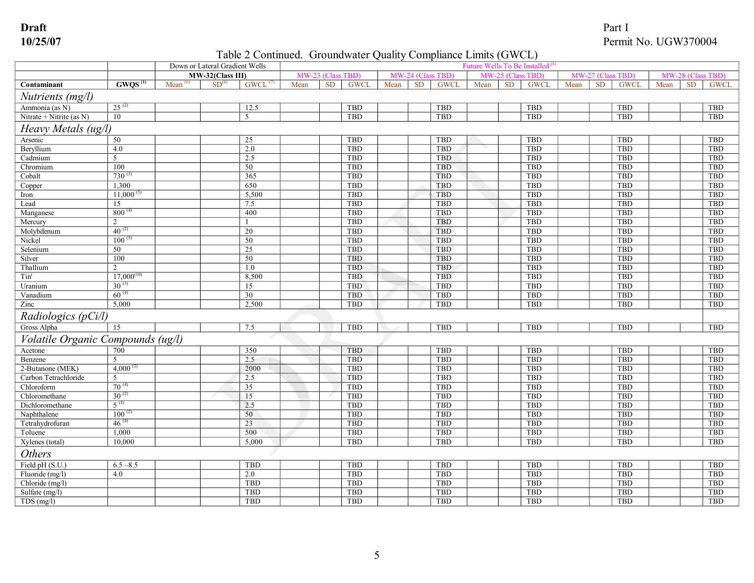## Table 2 Continued. Groundwater Quality Compliance Limits (GWCL)

|                                   |                     |      | Down or Lateral Gradient Wells |                       |           |                          |           | <b>Future Wells To Be Installed</b> |             |      |           |             |           |           |             |                         |           |             |
|-----------------------------------|---------------------|------|--------------------------------|-----------------------|-----------|--------------------------|-----------|-------------------------------------|-------------|------|-----------|-------------|-----------|-----------|-------------|-------------------------|-----------|-------------|
|                                   |                     |      | MW-32(Class III)               |                       | <b>MW</b> | 23 (Class<br><b>TRD</b>  | <b>MV</b> |                                     | is TBD      |      |           |             | <b>MW</b> | 27 (Cl    | <b>TBD</b>  | <b>MW</b><br><b>TBD</b> |           |             |
| Contaminant                       | GWOS <sup>(1)</sup> | Mean | SD <sup>(6)</sup>              | $GWCL$ <sup>(t)</sup> | Mean      | <b>SD</b><br><b>GWCL</b> | Mean      | <b>SD</b>                           | <b>GWCI</b> | Mean | <b>SD</b> | <b>GWCL</b> | Mean      | <b>SD</b> | <b>GWCL</b> | Mean                    | <b>SD</b> | <b>GWCL</b> |
| Nutrients (mg/l)                  |                     |      |                                |                       |           |                          |           |                                     |             |      |           |             |           |           |             |                         |           |             |
| Ammonia (as N)                    | $25^{(2)}$          |      |                                | 12.5                  |           | <b>TBD</b>               |           |                                     | TBD         |      |           | <b>TBD</b>  |           |           | TBD         |                         |           | TBD         |
| Nitrate + Nitrite (as $N$ )       | 10                  |      |                                | 5                     |           | <b>TBD</b>               |           |                                     | TBD         |      |           | TBD         |           |           | TBD         |                         |           | TBD         |
| Heavy Metals (ug/l)               |                     |      |                                |                       |           |                          |           |                                     |             |      |           |             |           |           |             |                         |           |             |
| Arsenic                           | 50                  |      |                                | 25                    |           | <b>TBD</b>               |           |                                     | TBD         |      |           | TBD         |           |           | <b>TBD</b>  |                         |           | <b>TBD</b>  |
| Beryllium                         | 4.0                 |      |                                | 2.0                   |           | <b>TBD</b>               |           |                                     | <b>TBD</b>  |      |           | TBD         |           |           | <b>TBD</b>  |                         |           | <b>TBD</b>  |
| Cadmium                           | 5                   |      |                                | 2.5                   |           | <b>TBD</b>               |           |                                     | <b>TBD</b>  |      |           | <b>TBD</b>  |           |           | TBD         |                         |           | TBD         |
| Chromium                          | 100                 |      |                                | $\overline{50}$       |           | <b>TBD</b>               |           |                                     | <b>TBD</b>  |      |           | <b>TBD</b>  |           |           | <b>TBD</b>  |                         |           | <b>TBD</b>  |
| Cobalt                            | $730^{(5)}$         |      |                                | 365                   |           | <b>TBD</b>               |           |                                     | <b>TBD</b>  |      |           | <b>TBD</b>  |           |           | <b>TBD</b>  |                         |           | <b>TBD</b>  |
| Copper                            | 1.300               |      |                                | 650                   |           | <b>TBD</b>               |           |                                     | <b>TBD</b>  |      |           | <b>TBD</b>  |           |           | <b>TBD</b>  |                         |           | <b>TBD</b>  |
| Iron                              | $11,000^{(5)}$      |      |                                | 5,500                 |           | <b>TBD</b>               |           |                                     | TBD         |      |           | TBD         |           |           | TBD         |                         |           | TBD         |
| Lead                              | 15                  |      |                                | 7.5                   |           | <b>TBD</b>               |           |                                     | TBD         |      |           | TBD         |           |           | TBD         |                         |           | TBD         |
| Manganese                         | $800^{(4)}$         |      |                                | 400                   |           | <b>TBD</b>               |           |                                     | TBD         |      |           | TBD         |           |           | TBD         |                         |           | TBD         |
| Mercury                           | 2                   |      |                                |                       |           | TBD                      |           |                                     | TBD         |      |           | <b>TBD</b>  |           |           | <b>TBD</b>  |                         |           | TBD         |
| Molybdenum                        | $40^{(2)}$          |      |                                | 20                    |           | TBD                      |           |                                     | TBD         |      |           | TBD         |           |           | <b>TBD</b>  |                         |           | <b>TBD</b>  |
| Nickel                            | $100^{(3)}$         |      |                                | 50                    |           | TBD                      |           |                                     | TBD         |      |           | TBD         |           |           | TBD         |                         |           | TBD         |
| Selenium                          | 50                  |      |                                | 25                    |           | <b>TBD</b>               |           |                                     | TBD         |      |           | TBD         |           |           | <b>TBD</b>  |                         |           | <b>TBD</b>  |
| Silver                            | 100                 |      |                                | 50                    |           | <b>TBD</b>               |           |                                     | TBD         |      |           | <b>TBD</b>  |           |           | TBD         |                         |           | TBD         |
| Thallium                          | 2                   |      |                                | $1.0\,$               |           | TBD                      |           |                                     | <b>TBD</b>  |      |           | <b>TBD</b>  |           |           | <b>TBD</b>  |                         |           | TBD         |
| Tim <sup>6</sup>                  | $17,000^{(10)}$     |      |                                | 8,500                 |           | <b>TBD</b>               |           |                                     | TBD         |      |           | <b>TBD</b>  |           |           | TBD         |                         |           | TBD         |
| Uranium                           | $30^{(3)}$          |      |                                | 15                    |           | <b>TBD</b>               |           |                                     | TBD         |      |           | TBD         |           |           | TBD         |                         |           | TBD         |
| Vanadium                          | $60^{(4)}$          |      |                                | 30                    |           | TBD                      |           |                                     | TBD         |      |           | <b>TBD</b>  |           |           | <b>TBD</b>  |                         |           | TBD         |
| Zinc                              | 5,000               |      |                                | 2,500                 |           | TBD                      |           |                                     | TBD         |      |           | <b>TBD</b>  |           |           | <b>TBD</b>  |                         |           | <b>TBD</b>  |
| Radiologics (pCi/l)               |                     |      |                                |                       |           |                          |           |                                     |             |      |           |             |           |           |             |                         |           |             |
| Gross Alpha                       | 15                  |      |                                | 7.5                   |           | <b>TBD</b>               |           |                                     | <b>TBD</b>  |      |           | TBD         |           |           | TBD         |                         |           | <b>TBD</b>  |
| Volatile Organic Compounds (ug/l) |                     |      |                                |                       |           |                          |           |                                     |             |      |           |             |           |           |             |                         |           |             |
| Acetone                           | 700                 |      |                                | 350                   |           | <b>TBD</b>               |           |                                     | <b>TBD</b>  |      |           | TBD         |           |           | <b>TBD</b>  |                         |           | <b>TBD</b>  |
| Benzene                           | 5                   |      |                                | 2.5                   |           | <b>TBD</b>               |           |                                     | <b>TBD</b>  |      |           | TBD         |           |           | TBD         |                         |           | <b>TBD</b>  |
| 2-Butanone (MEK)                  | $4,000^{(2)}$       |      |                                | 2000                  |           | <b>TBD</b>               |           |                                     | TBD         |      |           | TBD         |           |           | TBD         |                         |           | <b>TBD</b>  |
| Carbon Tetrachloride              | 5                   |      |                                | 2.5                   |           | TBD                      |           |                                     | <b>TBD</b>  |      |           | TBD         |           |           | TBD         |                         |           | <b>TBD</b>  |
| Chloroform                        | $70^{(4)}$          |      |                                | $\overline{35}$       |           | <b>TBD</b>               |           |                                     | TBD         |      |           | TBD         |           |           | TBD         |                         |           | <b>TBD</b>  |
| Chloromethane                     | $30^{(2)}$          |      |                                | 15                    |           | <b>TBD</b>               |           |                                     | <b>TBD</b>  |      |           | TBD         |           |           | TBD         |                         |           | <b>TBD</b>  |
| Dichloromethane                   | $5^{(3)}$           |      |                                | 2.5                   |           | TBD                      |           |                                     | TBD         |      |           | TBD         |           |           | TBD         |                         |           | <b>TBD</b>  |
| Naphthalene                       | $100^{(2)}$         |      |                                | 50                    |           | <b>TBD</b>               |           |                                     | TBD         |      |           | TBD         |           |           | TBD         |                         |           | <b>TBD</b>  |
| Tetrahydrofuran                   | $46^{(4)}$          |      |                                | $\overline{23}$       |           | <b>TBD</b>               |           |                                     | TBD         |      |           | TBD         |           |           | TBD         |                         |           | TBD         |
| Toluene                           | 1,000               |      |                                | 500                   |           | <b>TBD</b>               |           |                                     | TBD         |      |           | TBD         |           |           | TBD         |                         |           | <b>TBD</b>  |
| Xylenes (total)                   | 10,000              |      |                                | 5,000                 |           | TBD                      |           |                                     | TBD         |      |           | TBD         |           |           | <b>TBD</b>  |                         |           | <b>TBD</b>  |
| <b>Others</b>                     |                     |      |                                |                       |           |                          |           |                                     |             |      |           |             |           |           |             |                         |           |             |
| Field pH (S.U.)                   | $6.5 - 8.5$         |      |                                | TBD                   |           | TBD                      |           |                                     | TBD         |      |           | <b>TBD</b>  |           |           | <b>TBD</b>  |                         |           | TBD         |
| Fluoride (mg/l)                   | 4.0                 |      |                                | 2.0                   |           | <b>TBD</b>               |           |                                     | <b>TBD</b>  |      |           | TBD         |           |           | <b>TBD</b>  |                         |           | <b>TBD</b>  |
| Chloride (mg/l)                   |                     |      |                                | <b>TBD</b>            |           | <b>TBD</b>               |           |                                     | TBD         |      |           | TBD         |           |           | <b>TBD</b>  |                         |           | <b>TBD</b>  |
| Sulfate (mg/l)                    |                     |      |                                | TBD                   |           | <b>TBD</b>               |           |                                     | <b>TBD</b>  |      |           | TBD         |           |           | <b>TBD</b>  |                         |           | TBD         |
| TDS(mg/l)                         |                     |      |                                | <b>TBD</b>            |           | <b>TBD</b>               |           |                                     | <b>TBD</b>  |      |           | <b>TBD</b>  |           |           | <b>TBD</b>  |                         |           | <b>TBD</b>  |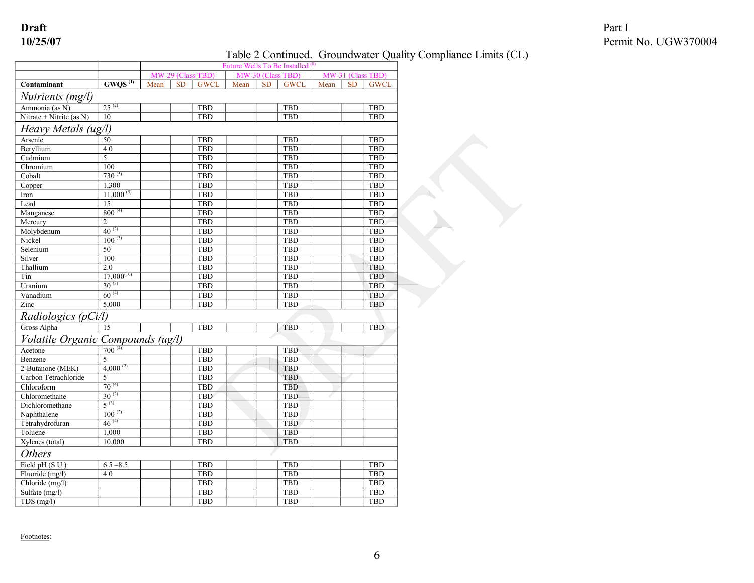## Table 2 Continued. Groundwater Quality Compliance Limits (CL)

|                                                                              |                     | Future Wells To Be Installed <sup>(8)</sup> |           |                   |      |           |                   |      |           |                   |
|------------------------------------------------------------------------------|---------------------|---------------------------------------------|-----------|-------------------|------|-----------|-------------------|------|-----------|-------------------|
|                                                                              |                     |                                             |           | MW-29 (Class TBD) |      |           | MW-30 (Class TBD) |      |           | MW-31 (Class TBD) |
| Contaminant                                                                  | GWOS <sup>(1)</sup> | Mean                                        | <b>SD</b> | <b>GWCL</b>       | Mean | <b>SD</b> | <b>GWCL</b>       | Mean | <b>SD</b> | <b>GWCL</b>       |
| Nutrients (mg/l)                                                             |                     |                                             |           |                   |      |           |                   |      |           |                   |
| Ammonia (as N)                                                               | $25^{(2)}$          |                                             |           | <b>TBD</b>        |      |           | <b>TBD</b>        |      |           | TBD               |
| Nitrate + Nitrite (as $N$ )                                                  | 10                  |                                             |           | <b>TBD</b>        |      |           | TBD               |      |           | <b>TBD</b>        |
| Heavy Metals (ug/l)                                                          |                     |                                             |           |                   |      |           |                   |      |           |                   |
| Arsenic                                                                      | 50                  |                                             |           | <b>TBD</b>        |      |           | <b>TBD</b>        |      |           | <b>TBD</b>        |
| Beryllium                                                                    | 4.0                 |                                             |           | TBD               |      |           | TBD               |      |           | <b>TBD</b>        |
| Cadmium                                                                      | 5                   |                                             |           | <b>TBD</b>        |      |           | TBD               |      |           | <b>TBD</b>        |
| Chromium                                                                     | 100                 |                                             |           | TBD               |      |           | TBD               |      |           | <b>TBD</b>        |
| Cobalt                                                                       | $730^{(5)}$         |                                             |           | <b>TBD</b>        |      |           | <b>TBD</b>        |      |           | <b>TBD</b>        |
| Copper                                                                       | 1.300               |                                             |           | <b>TBD</b>        |      |           | <b>TBD</b>        |      |           | TBD               |
| Iron                                                                         | $11,000^{(5)}$      |                                             |           | <b>TBD</b>        |      |           | <b>TBD</b>        |      |           | <b>TBD</b>        |
| Lead                                                                         | 15                  |                                             |           | <b>TBD</b>        |      |           | <b>TBD</b>        |      |           | <b>TBD</b>        |
| Manganese                                                                    | $800^{(4)}$         |                                             |           | TBD               |      |           | TBD               |      |           | TBD               |
| Mercury                                                                      | $\overline{2}$      |                                             |           | <b>TBD</b>        |      |           | <b>TBD</b>        |      |           | <b>TBD</b>        |
| Molybdenum                                                                   | $40^{(2)}$          |                                             |           | TBD               |      |           | <b>TBD</b>        |      |           | <b>TBD</b>        |
| Nickel                                                                       | $100^{(3)}$         |                                             |           | <b>TBD</b>        |      |           | <b>TBD</b>        |      |           | TBD               |
| Selenium                                                                     | 50                  |                                             |           | <b>TBD</b>        |      |           | <b>TBD</b>        |      |           | <b>TBD</b>        |
| Silver                                                                       | 100                 |                                             |           | TBD               |      |           | TBD               |      |           | TBD               |
| Thallium                                                                     | 2.0                 |                                             |           | TBD               |      |           | TBD               |      |           | <b>TBD</b>        |
| Tin                                                                          | $17,000^{(10)}$     |                                             |           | <b>TBD</b>        |      |           | <b>TBD</b>        |      |           | <b>TBD</b>        |
| Uranium                                                                      | $30^{(3)}$          |                                             |           | <b>TBD</b>        |      |           | <b>TBD</b>        |      |           | TBD               |
| Vanadium                                                                     | $60^{(4)}$          |                                             |           | TBD               |      |           | TBD               |      |           | TBD               |
| Zinc                                                                         | 5,000               |                                             |           | <b>TBD</b>        |      |           | <b>TBD</b>        |      |           | <b>TBD</b>        |
| Radiologics (pCi/l)                                                          |                     |                                             |           |                   |      |           |                   |      |           |                   |
| Gross Alpha                                                                  | $\overline{15}$     |                                             |           | TBD               |      |           | <b>TBD</b>        |      |           | <b>TBD</b>        |
| Volatile Organic Compounds $(ug/l)$<br>Acetone $\frac{700^{(4)}}{200^{(4)}}$ |                     |                                             |           |                   |      |           |                   |      |           |                   |
|                                                                              |                     |                                             |           | <b>TBD</b>        |      |           | TBD               |      |           |                   |
| Benzene                                                                      | 5                   |                                             |           | <b>TBD</b>        |      |           | TBD               |      |           |                   |
| 2-Butanone (MEK)                                                             | $4,000^{(2)}$       |                                             |           | TBD               |      |           | TBD               |      |           |                   |
| Carbon Tetrachloride                                                         | 5                   |                                             |           | TBD               |      |           | TBD               |      |           |                   |
| Chloroform                                                                   | $70^{(4)}$          |                                             |           | <b>TBD</b>        |      |           | TBD               |      |           |                   |
| Chloromethane                                                                | $30^{(2)}$          |                                             |           | TBD               |      |           | TBD               |      |           |                   |
| Dichloromethane                                                              | $5^{(3)}$           |                                             |           | <b>TBD</b>        |      |           | <b>TBD</b>        |      |           |                   |
| Naphthalene                                                                  | $100^{(2)}$         |                                             |           | TBD               |      |           | TBD               |      |           |                   |
| Tetrahydrofuran                                                              | $46^{(4)}$          |                                             |           | TBD               |      |           | <b>TBD</b>        |      |           |                   |
| Toluene                                                                      | 1,000               |                                             |           | TBD               |      |           | TBD               |      |           |                   |
| Xylenes (total)                                                              | 10,000              |                                             |           | TBD               |      |           | TBD               |      |           |                   |
| <b>Others</b>                                                                |                     |                                             |           |                   |      |           |                   |      |           |                   |
| Field pH (S.U.)                                                              | $6.5 - 8.5$         |                                             |           | <b>TBD</b>        |      |           | <b>TBD</b>        |      |           | <b>TBD</b>        |
| Fluoride (mg/l)                                                              | 4.0                 |                                             |           | TBD               |      |           | TBD               |      |           | <b>TBD</b>        |
| Chloride (mg/l)                                                              |                     |                                             |           | <b>TBD</b>        |      |           | TBD               |      |           | <b>TBD</b>        |
| Sulfate (mg/l)                                                               |                     |                                             |           | TBD               |      |           | <b>TBD</b>        |      |           | <b>TBD</b>        |
| TDS(mg/l)                                                                    |                     |                                             |           | TBD               |      |           | <b>TBD</b>        |      |           | <b>TBD</b>        |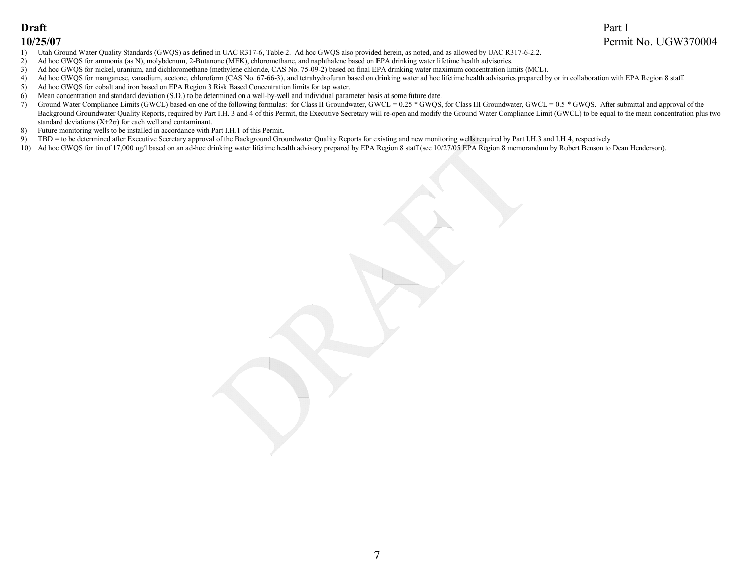- 1) Utah Ground Water Quality Standards (GWQS) as defined in UAC R317-6, Table 2. Ad hoc GWQS also provided herein, as noted, and as allowed by UAC R317-6-2.2.
- 2) Ad hoc GWQS for ammonia (as N), molybdenum, 2-Butanone (MEK), chloromethane, and naphthalene based on EPA drinking water lifetime health advisories.
- 3) Ad hoc GWQS for nickel, uranium, and dichloromethane (methylene chloride, CAS No. 75092) based on final EPA drinking water maximum concentration limits (MCL).
- 4) Ad hoc GWQS for manganese, vanadium, acetone, chloroform (CAS No. 67-66-3), and tetrahydrofuran based on drinking water ad hoc lifetime health advisories prepared by or in collaboration with EPA Region 8 staff.<br>5) Ad ho
- 5) Ad hoc GWQS for cobalt and iron based on EPA Region 3 Risk Based Concentration limits for tap water.
- 6) Mean concentration and standard deviation (S.D.) to be determined on a well-by-well and individual parameter basis at some future date.
- 7) Ground Water Compliance Limits (GWCL) based on one of the following formulas: for Class II Groundwater, GWCL = 0.25 \* GWQS, for Class III Groundwater, GWCL = 0.5 \* GWQS. After submittal and approval of the Background Groundwater Quality Reports, required by Part I.H. 3 and 4 of this Permit, the Executive Secretary will re-open and modify the Ground Water Compliance Limit (GWCL) to be equal to the mean concentration plus two standard deviations  $(X+2\sigma)$  for each well and contaminant.
- 8) Future monitoring wells to be installed in accordance with Part I.H.1 of this Permit.
- 9) TBD = to be determined after Executive Secretary approval of the Background Groundwater Quality Reports for existing and new monitoring wells required by Part I.H.3 and I.H.4, respectively
- 10) Ad hoc GWQS for tin of 17,000 ug/l based on an ad-hoc drinking water lifetime health advisory prepared by EPA Region 8 staff (see 10/27/05 EPA Region 8 memorandum by Robert Benson to Dean Henderson).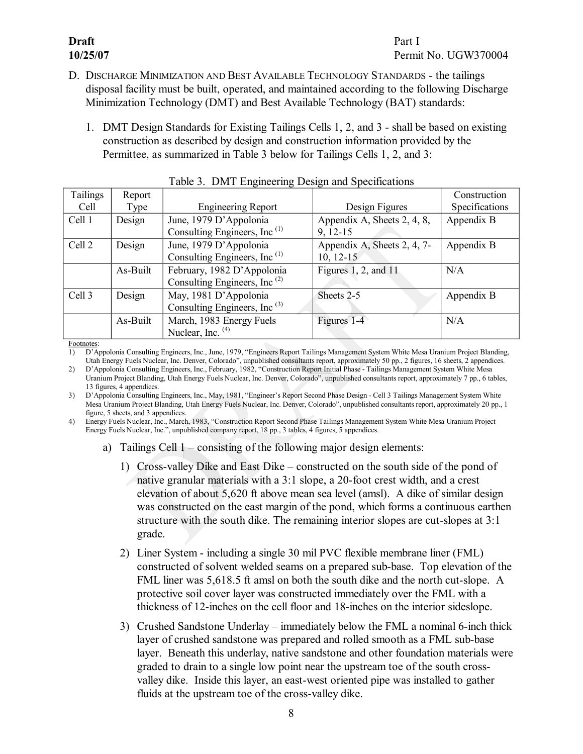## **Draft** Part I

- D. DISCHARGE MINIMIZATION AND BEST AVAILABLE TECHNOLOGY STANDARDS the tailings disposal facility must be built, operated, and maintained according to the following Discharge Minimization Technology (DMT) and Best Available Technology (BAT) standards:
	- 1. DMT Design Standards for Existing Tailings Cells 1, 2, and 3 shall be based on existing construction as described by design and construction information provided by the Permittee, as summarized in Table 3 below for Tailings Cells 1, 2, and 3:

<span id="page-11-2"></span>

| Tailings | Report   |                                          |                             | Construction   |
|----------|----------|------------------------------------------|-----------------------------|----------------|
| Cell     | Type     | <b>Engineering Report</b>                | Design Figures              | Specifications |
| Cell 1   | Design   | June, 1979 D'Appolonia                   | Appendix A, Sheets 2, 4, 8, | Appendix B     |
|          |          | Consulting Engineers, Inc $^{(1)}$       | $9, 12-15$                  |                |
| Cell 2   | Design   | June, 1979 D'Appolonia                   | Appendix A, Sheets 2, 4, 7- | Appendix B     |
|          |          | Consulting Engineers, Inc $^{(1)}$       | $10, 12 - 15$               |                |
|          | As-Built | February, 1982 D'Appolonia               | Figures 1, 2, and $11$      | N/A            |
|          |          | Consulting Engineers, Inc $^{(2)}$       |                             |                |
| Cell 3   | Design   | May, 1981 D'Appolonia                    | Sheets 2-5                  | Appendix B     |
|          |          | Consulting Engineers, Inc <sup>(3)</sup> |                             |                |
|          | As-Built | March, 1983 Energy Fuels                 | Figures 1-4                 | N/A            |
|          |          | Nuclear, Inc. $(4)$                      |                             |                |

<span id="page-11-1"></span><span id="page-11-0"></span>

|  |  |  |  | Table 3. DMT Engineering Design and Specifications |  |
|--|--|--|--|----------------------------------------------------|--|
|--|--|--|--|----------------------------------------------------|--|

Footnote

1) D'Appolonia Consulting Engineers, Inc., June, 1979, "Engineers Report Tailings Management System White Mesa Uranium Project Blanding, Utah Energy Fuels Nuclear, Inc. Denver, Colorado", unpublished consultants report, approximately 50 pp., 2 figures, 16 sheets, 2 appendices.

2) D'Appolonia Consulting Engineers, Inc., February, 1982, "Construction Report Initial Phase Tailings Management System White Mesa Uranium Project Blanding, Utah Energy Fuels Nuclear, Inc. Denver, Colorado", unpublished consultants report, approximately 7 pp., 6 tables, 13 figures, 4 appendices.

3) D'Appolonia Consulting Engineers, Inc., May, 1981, "Engineer's Report Second Phase Design Cell 3 Tailings Management System White Mesa Uranium Project Blanding, Utah Energy Fuels Nuclear, Inc. Denver, Colorado", unpublished consultants report, approximately 20 pp., 1 figure, 5 sheets, and 3 appendices.

4) Energy Fuels Nuclear, Inc., March, 1983, "Construction Report Second Phase Tailings Management System White Mesa Uranium Project Energy Fuels Nuclear, Inc.", unpublished company report, 18 pp., 3 tables, 4 figures, 5 appendices.

- a) Tailings Cell 1 consisting of the following major design elements:
	- 1) Cross-valley Dike and East Dike constructed on the south side of the pond of native granular materials with a  $3:1$  slope, a  $20$ -foot crest width, and a crest elevation of about 5,620 ft above mean sea level (amsl). A dike of similar design was constructed on the east margin of the pond, which forms a continuous earthen structure with the south dike. The remaining interior slopes are cut-slopes at 3:1 grade.
	- 2) Liner System including a single 30 mil PVC flexible membrane liner (FML) constructed of solvent welded seams on a prepared sub-base. Top elevation of the FML liner was 5,618.5 ft amsl on both the south dike and the north cut-slope. A protective soil cover layer was constructed immediately over the FML with a thickness of 12-inches on the cell floor and 18-inches on the interior sideslope.
	- 3) Crushed Sandstone Underlay immediately below the FML a nominal 6-inch thick layer of crushed sandstone was prepared and rolled smooth as a FML sub-base layer. Beneath this underlay, native sandstone and other foundation materials were graded to drain to a single low point near the upstream toe of the south cross valley dike. Inside this layer, an east-west oriented pipe was installed to gather fluids at the upstream toe of the cross-valley dike.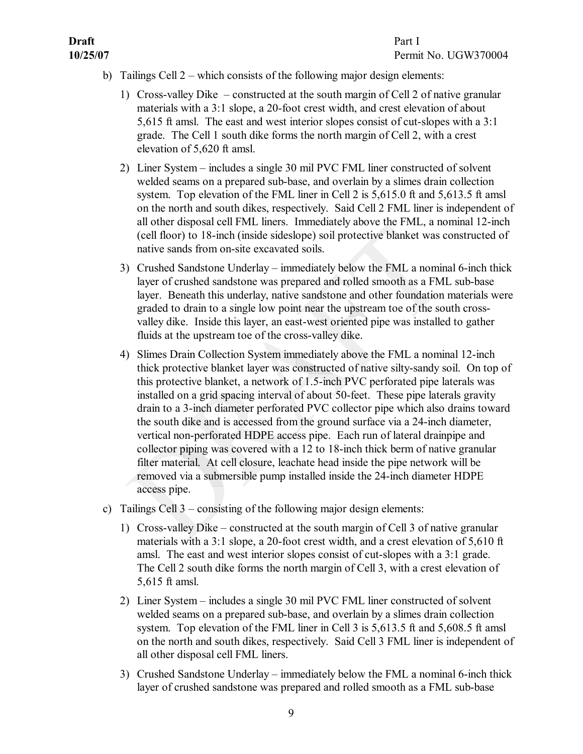- b) Tailings Cell 2 which consists of the following major design elements:
	- 1) Cross-valley Dike  $-$  constructed at the south margin of Cell 2 of native granular materials with a 3:1 slope, a 20-foot crest width, and crest elevation of about 5,615 ft amsl. The east and west interior slopes consist of cut-slopes with a  $3:1$ grade. The Cell 1 south dike forms the north margin of Cell 2, with a crest elevation of 5,620 ft amsl.
	- 2) Liner System includes a single 30 mil PVC FML liner constructed of solvent welded seams on a prepared sub-base, and overlain by a slimes drain collection system. Top elevation of the FML liner in Cell 2 is 5,615.0 ft and 5,613.5 ft amsl on the north and south dikes, respectively. Said Cell 2 FML liner is independent of all other disposal cell FML liners. Immediately above the FML, a nominal 12-inch (cell floor) to 18-inch (inside sideslope) soil protective blanket was constructed of native sands from on-site excavated soils.
	- 3) Crushed Sandstone Underlay immediately below the FML a nominal 6-inch thick layer of crushed sandstone was prepared and rolled smooth as a FML sub-base layer. Beneath this underlay, native sandstone and other foundation materials were graded to drain to a single low point near the upstream toe of the south cross valley dike. Inside this layer, an east-west oriented pipe was installed to gather fluids at the upstream toe of the cross-valley dike.
	- 4) Slimes Drain Collection System immediately above the FML a nominal 12-inch thick protective blanket layer was constructed of native silty-sandy soil. On top of this protective blanket, a network of 1.5-inch PVC perforated pipe laterals was installed on a grid spacing interval of about 50-feet. These pipe laterals gravity drain to a 3-inch diameter perforated PVC collector pipe which also drains toward the south dike and is accessed from the ground surface via a 24-inch diameter, vertical non-perforated HDPE access pipe. Each run of lateral drainpipe and collector piping was covered with a  $12$  to  $18$ -inch thick berm of native granular filter material. At cell closure, leachate head inside the pipe network will be removed via a submersible pump installed inside the 24-inch diameter HDPE access pipe.
- c) Tailings Cell 3 consisting of the following major design elements:
	- 1) Cross-valley Dike constructed at the south margin of Cell 3 of native granular materials with a 3:1 slope, a 20-foot crest width, and a crest elevation of  $5,610$  ft amsl. The east and west interior slopes consist of cut-slopes with a 3:1 grade. The Cell 2 south dike forms the north margin of Cell 3, with a crest elevation of 5,615 ft amsl.
	- 2) Liner System includes a single 30 mil PVC FML liner constructed of solvent welded seams on a prepared sub-base, and overlain by a slimes drain collection system. Top elevation of the FML liner in Cell 3 is 5,613.5 ft and 5,608.5 ft amsl on the north and south dikes, respectively. Said Cell 3 FML liner is independent of all other disposal cell FML liners.
	- 3) Crushed Sandstone Underlay immediately below the FML a nominal 6-inch thick layer of crushed sandstone was prepared and rolled smooth as a FML sub-base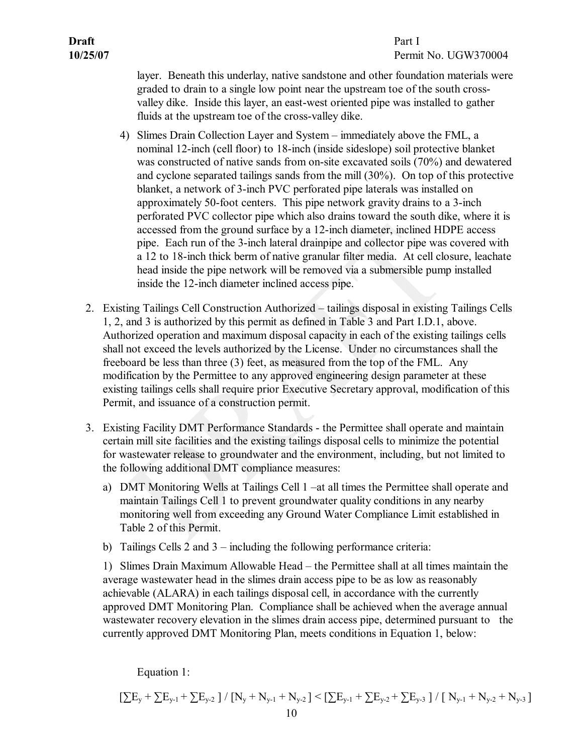## **10/25/07** Permit No. UGW370004

layer. Beneath this underlay, native sandstone and other foundation materials were graded to drain to a single low point near the upstream toe of the south cross valley dike. Inside this layer, an east-west oriented pipe was installed to gather fluids at the upstream toe of the cross-valley dike.

- 4) Slimes Drain Collection Layer and System immediately above the FML, a nominal 12-inch (cell floor) to 18-inch (inside sideslope) soil protective blanket was constructed of native sands from on-site excavated soils (70%) and dewatered and cyclone separated tailings sands from the mill (30%). On top of this protective blanket, a network of 3-inch PVC perforated pipe laterals was installed on approximately 50-foot centers. This pipe network gravity drains to a 3-inch perforated PVC collector pipe which also drains toward the south dike, where it is accessed from the ground surface by a 12-inch diameter, inclined HDPE access pipe. Each run of the 3-inch lateral drainpipe and collector pipe was covered with a 12 to 18-inch thick berm of native granular filter media. At cell closure, leachate head inside the pipe network will be removed via a submersible pump installed inside the 12-inch diameter inclined access pipe.
- <span id="page-13-0"></span>2. Existing Tailings Cell Construction Authorized – tailings disposal in existing Tailings Cells 1, 2, and 3 is authorized by this permit as defined in Table 3 and Part I.D.1, above. Authorized operation and maximum disposal capacity in each of the existing tailings cells shall not exceed the levels authorized by the License. Under no circumstances shall the freeboard be less than three (3) feet, as measured from the top of the FML. Any modification by the Permittee to any approved engineering design parameter at these existing tailings cells shall require prior Executive Secretary approval, modification of this Permit, and issuance of a construction permit.
- <span id="page-13-1"></span>3. Existing Facility DMT Performance Standards - the Permittee shall operate and maintain certain mill site facilities and the existing tailings disposal cells to minimize the potential for wastewater release to groundwater and the environment, including, but not limited to the following additional DMT compliance measures:
	- a) DMT Monitoring Wells at Tailings Cell 1 –at all times the Permittee shall operate and maintain Tailings Cell 1 to prevent groundwater quality conditions in any nearby monitoring well from exceeding any Ground Water Compliance Limit established in Table 2 of this Permit.
	- b) Tailings Cells  $\overline{2}$  and  $\overline{3}$  including the following performance criteria:

1) Slimes Drain Maximum Allowable Head – the Permittee shall at all times maintain the average wastewater head in the slimes drain access pipe to be as low as reasonably achievable (ALARA) in each tailings disposal cell, in accordance with the currently approved DMT Monitoring Plan. Compliance shall be achieved when the average annual wastewater recovery elevation in the slimes drain access pipe, determined pursuant to the currently approved DMT Monitoring Plan, meets conditions in Equation 1, below:

Equation 1:

$$
\left[\sum E_y + \sum E_{y-1} + \sum E_{y-2}\right] / \left[N_y + N_{y-1} + N_{y-2}\right] < \left[\sum E_{y-1} + \sum E_{y-2} + \sum E_{y-3}\right] / \left[N_{y-1} + N_{y-2} + N_{y-3}\right]
$$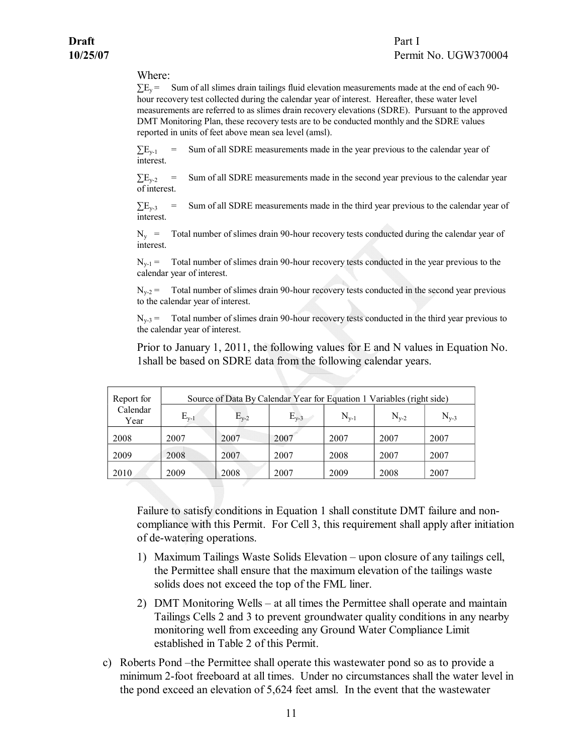## **10/25/07** Permit No. UGW370004

#### Where:

 $\Sigma E_y$  = Sum of all slimes drain tailings fluid elevation measurements made at the end of each 90hour recovery test collected during the calendar year of interest. Hereafter, these water level measurements are referred to as slimes drain recovery elevations (SDRE). Pursuant to the approved DMT Monitoring Plan, these recovery tests are to be conducted monthly and the SDRE values reported in units of feet above mean sea level (amsl).

 $\sum E_{y-1}$  = Sum of all SDRE measurements made in the year previous to the calendar year of interest.

 $\sum E_{y-2}$  = Sum of all SDRE measurements made in the second year previous to the calendar year of interest.

 $\Sigma_{\text{Eq3}}$  = Sum of all SDRE measurements made in the third year previous to the calendar year of interest.

 $N_v$  = Total number of slimes drain 90-hour recovery tests conducted during the calendar year of interest.

 $N_{v-1}$  = Total number of slimes drain 90-hour recovery tests conducted in the year previous to the calendar year of interest.

 $N_{y-2}$  Total number of slimes drain 90-hour recovery tests conducted in the second year previous to the calendar year of interest.

 $N_{y-3}$  = Total number of slimes drain 90-hour recovery tests conducted in the third year previous to the calendar year of interest.

Prior to January 1, 2011, the following values for E and N values in Equation No. 1shall be based on SDRE data from the following calendar years.

| Report for       |           | Source of Data By Calendar Year for Equation 1 Variables (right side) |           |           |           |           |  |  |  |  |  |  |
|------------------|-----------|-----------------------------------------------------------------------|-----------|-----------|-----------|-----------|--|--|--|--|--|--|
| Calendar<br>Year | $E_{v-1}$ | $E_{v-2}$                                                             | $E_{v-3}$ | $N_{v-1}$ | $N_{v-2}$ | $N_{y-3}$ |  |  |  |  |  |  |
| 2008             | 2007      | 2007                                                                  | 2007      | 2007      | 2007      | 2007      |  |  |  |  |  |  |
| 2009             | 2008      | 2007                                                                  | 2007      | 2008      | 2007      | 2007      |  |  |  |  |  |  |
| 2010             | 2009      | 2008                                                                  | 2007      | 2009      | 2008      | 2007      |  |  |  |  |  |  |

Failure to satisfy conditions in Equation 1 shall constitute DMT failure and non compliance with this Permit. For Cell 3, this requirement shall apply after initiation of dewatering operations.

- 1) Maximum Tailings Waste Solids Elevation upon closure of any tailings cell, the Permittee shall ensure that the maximum elevation of the tailings waste solids does not exceed the top of the FML liner.
- 2) DMT Monitoring Wells at all times the Permittee shall operate and maintain Tailings Cells 2 and 3 to prevent groundwater quality conditions in any nearby monitoring well from exceeding any Ground Water Compliance Limit established in Table 2 of this Permit.
- c) Roberts Pond –the Permittee shall operate this wastewater pond so as to provide a minimum 2-foot freeboard at all times. Under no circumstances shall the water level in the pond exceed an elevation of 5,624 feet amsl. In the event that the wastewater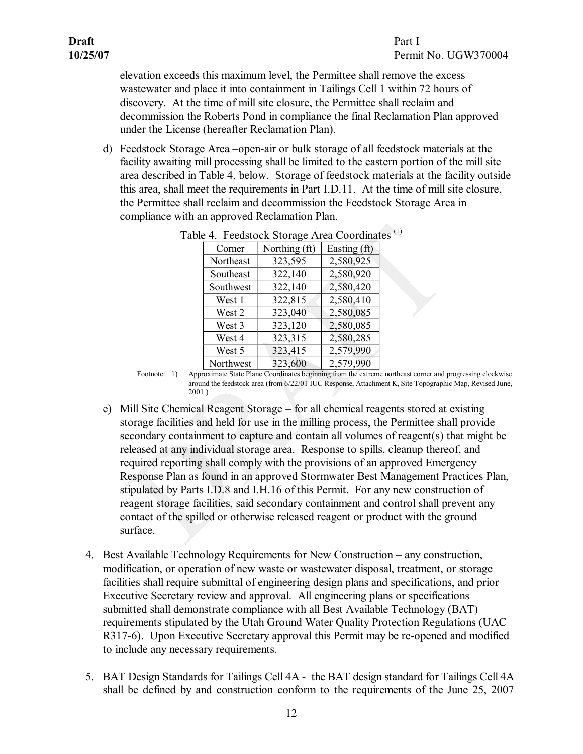elevation exceeds this maximum level, the Permittee shall remove the excess wastewater and place it into containment in Tailings Cell 1 within 72 hours of discovery. At the time of mill site closure, the Permittee shall reclaim and decommission the Roberts Pond in compliance the final Reclamation Plan approved under the License (hereafter Reclamation Plan).

d) Feedstock Storage Area –open-air or bulk storage of all feedstock materials at the facility awaiting mill processing shall be limited to the eastern portion of the mill site area described in Table 4, below. Storage of feedstock materials at the facility outside this area, shall meet the requirements in Part I.D.11. At the time of mill site closure, the Permittee shall reclaim and decommission the Feedstock Storage Area in compliance with an approved Reclamation Plan.

<span id="page-15-2"></span>

| Corner    | Northing (ft) | Easting (ft) |  |
|-----------|---------------|--------------|--|
| Northeast | 323,595       | 2,580,925    |  |
| Southeast | 322,140       | 2,580,920    |  |
| Southwest | 322,140       | 2,580,420    |  |
| West 1    | 322,815       | 2,580,410    |  |
| West 2    | 323,040       | 2,580,085    |  |
| West 3    | 323,120       | 2,580,085    |  |
| West 4    | 323,315       | 2,580,285    |  |
| West 5    | 323,415       | 2,579,990    |  |
| Northwest | 323,600       | 2,579,990    |  |

|  | Table 4. Feedstock Storage Area Coordinates <sup>(1)</sup> |  |
|--|------------------------------------------------------------|--|
|--|------------------------------------------------------------|--|

Footnote: 1) Approximate State Plane Coordinates beginning from the extreme northeast corner and progressing clockwise around the feedstock area (from 6/22/01 IUC Response, Attachment K, Site Topographic Map, Revised June, 2001.)

- e) Mill Site Chemical Reagent Storage for all chemical reagents stored at existing storage facilities and held for use in the milling process, the Permittee shall provide secondary containment to capture and contain all volumes of reagent(s) that might be released at any individual storage area. Response to spills, cleanup thereof, and required reporting shall comply with the provisions of an approved Emergency Response Plan as found in an approved Stormwater Best Management Practices Plan, stipulated by Parts I.D.8 and I.H.16 of this Permit. For any new construction of reagent storage facilities, said secondary containment and control shall prevent any contact of the spilled or otherwise released reagent or product with the ground surface.
- <span id="page-15-0"></span>4. Best Available Technology Requirements for New Construction – any construction, modification, or operation of new waste or wastewater disposal, treatment, or storage facilities shall require submittal of engineering design plans and specifications, and prior Executive Secretary review and approval. All engineering plans or specifications submitted shall demonstrate compliance with all Best Available Technology (BAT) requirements stipulated by the Utah Ground Water Quality Protection Regulations (UAC R317-6). Upon Executive Secretary approval this Permit may be re-opened and modified to include any necessary requirements.
- <span id="page-15-1"></span>5. BAT Design Standards for Tailings Cell 4A the BAT design standard for Tailings Cell 4A shall be defined by and construction conform to the requirements of the June 25, 2007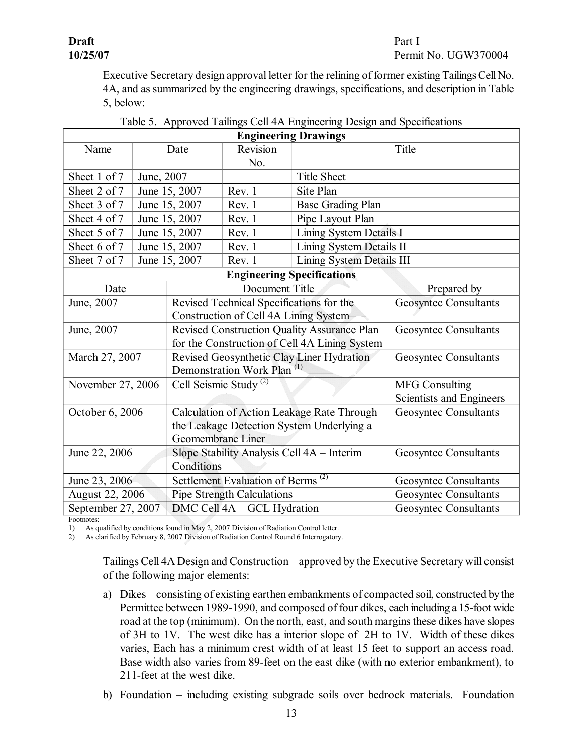## **Draft** Part I

## **10/25/07** Permit No. UGW370004

Executive Secretary design approval letter for the relining of former existing Tailings Cell No. 4A, and as summarized by the engineering drawings, specifications, and description in Table 5, below:

|                        |               |                                                            |                                            | <b>Engineering Drawings</b>       |                              |  |
|------------------------|---------------|------------------------------------------------------------|--------------------------------------------|-----------------------------------|------------------------------|--|
| Name                   |               | Date                                                       | Revision                                   |                                   | Title                        |  |
|                        |               |                                                            | No.                                        |                                   |                              |  |
| Sheet 1 of 7           | June, 2007    |                                                            |                                            | <b>Title Sheet</b>                |                              |  |
| Sheet 2 of 7           |               | June 15, 2007                                              | Rev. 1                                     | Site Plan                         |                              |  |
| Sheet 3 of 7           |               | June 15, 2007                                              | Rev. 1                                     | <b>Base Grading Plan</b>          |                              |  |
| Sheet 4 of 7           |               | June 15, 2007                                              | Rev. 1                                     | Pipe Layout Plan                  |                              |  |
| Sheet 5 of 7           |               | June 15, 2007                                              | Rev. 1                                     | Lining System Details I           |                              |  |
| Sheet 6 of 7           | June 15, 2007 |                                                            | Rev. 1                                     | Lining System Details II          |                              |  |
| Sheet 7 of 7           | June 15, 2007 |                                                            | Rev. 1                                     | Lining System Details III         |                              |  |
|                        |               |                                                            |                                            | <b>Engineering Specifications</b> |                              |  |
| Date                   |               |                                                            | Document Title                             |                                   | Prepared by                  |  |
| June, 2007             |               | Revised Technical Specifications for the                   |                                            | <b>Geosyntec Consultants</b>      |                              |  |
|                        |               | Construction of Cell 4A Lining System                      |                                            |                                   |                              |  |
| June, 2007             |               | Revised Construction Quality Assurance Plan                |                                            |                                   | Geosyntec Consultants        |  |
|                        |               | for the Construction of Cell 4A Lining System              |                                            |                                   |                              |  |
| March 27, 2007         |               | Revised Geosynthetic Clay Liner Hydration                  |                                            |                                   | Geosyntec Consultants        |  |
|                        |               | Demonstration Work Plan <sup>(1)</sup>                     |                                            |                                   |                              |  |
| November 27, 2006      |               | Cell Seismic Study <sup>(2)</sup>                          |                                            |                                   | <b>MFG Consulting</b>        |  |
|                        |               |                                                            |                                            | Scientists and Engineers          |                              |  |
| October 6, 2006        |               | Calculation of Action Leakage Rate Through                 |                                            | <b>Geosyntec Consultants</b>      |                              |  |
|                        |               | the Leakage Detection System Underlying a                  |                                            |                                   |                              |  |
|                        |               |                                                            | Geomembrane Liner                          |                                   |                              |  |
| June 22, 2006          |               |                                                            | Slope Stability Analysis Cell 4A - Interim |                                   | Geosyntec Consultants        |  |
|                        |               | Conditions                                                 |                                            |                                   |                              |  |
| June 23, 2006          |               | Settlement Evaluation of Berms <sup><math>(2)</math></sup> |                                            | Geosyntec Consultants             |                              |  |
| <b>August 22, 2006</b> |               |                                                            | <b>Pipe Strength Calculations</b>          |                                   | <b>Geosyntec Consultants</b> |  |
| September 27, 2007     |               |                                                            | DMC Cell 4A - GCL Hydration                |                                   | <b>Geosyntec Consultants</b> |  |

|  |  |  |  |  |  | Table 5. Approved Tailings Cell 4A Engineering Design and Specifications |  |
|--|--|--|--|--|--|--------------------------------------------------------------------------|--|
|--|--|--|--|--|--|--------------------------------------------------------------------------|--|

Footnotes:

1) As qualified by conditions found in May 2, 2007 Division of Radiation Control letter.

2) As clarified by February 8, 2007 Division of Radiation Control Round 6 Interrogatory.

Tailings Cell 4A Design and Construction – approved by the Executive Secretary will consist of the following major elements:

- a) Dikes consisting of existing earthen embankments of compacted soil, constructed bythe Permittee between 1989-1990, and composed of four dikes, each including a 15-foot wide road at the top (minimum). On the north, east, and south margins these dikes have slopes of 3H to 1V. The west dike has a interior slope of 2H to 1V. Width of these dikes varies, Each has a minimum crest width of at least 15 feet to support an access road. Base width also varies from 89-feet on the east dike (with no exterior embankment), to 211-feet at the west dike.
- b) Foundation including existing subgrade soils over bedrock materials. Foundation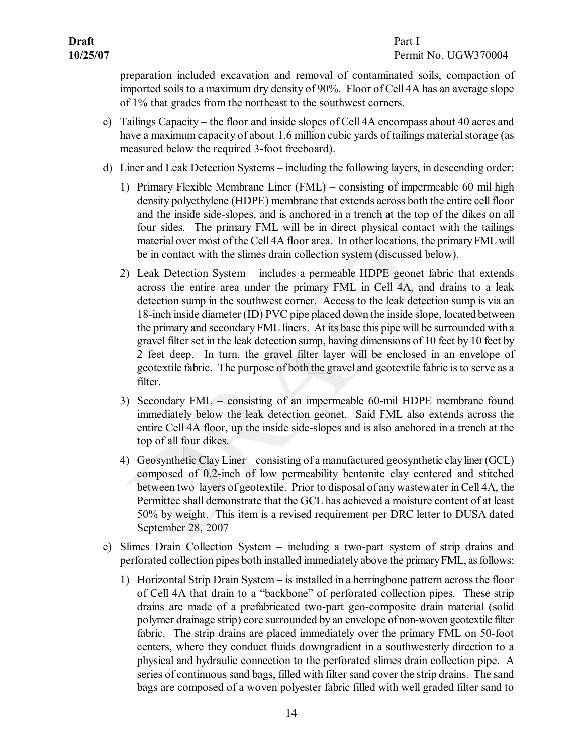preparation included excavation and removal of contaminated soils, compaction of imported soils to a maximum dry density of 90%. Floor of Cell 4A has an average slope of 1% that grades from the northeast to the southwest corners.

- c) Tailings Capacity the floor and inside slopes of Cell 4A encompass about 40 acres and have a maximum capacity of about 1.6 million cubic yards of tailings material storage (as measured below the required 3-foot freeboard).
- d) Liner and Leak Detection Systems including the following layers, in descending order:
	- 1) Primary Flexible Membrane Liner (FML) consisting of impermeable 60 mil high density polyethylene (HDPE) membrane that extends across both the entire cell floor and the inside side-slopes, and is anchored in a trench at the top of the dikes on all four sides. The primary FML will be in direct physical contact with the tailings material over most of the Cell 4A floor area. In other locations, the primaryFML will be in contact with the slimes drain collection system (discussed below).
	- 2) Leak Detection System includes a permeable HDPE geonet fabric that extends across the entire area under the primary FML in Cell 4A, and drains to a leak detection sump in the southwest corner. Access to the leak detection sump is via an 18-inch inside diameter (ID) PVC pipe placed down the inside slope, located between the primary and secondary FML liners. At its base this pipe will be surrounded with a gravel filter set in the leak detection sump, having dimensions of 10 feet by 10 feet by 2 feet deep. In turn, the gravel filter layer will be enclosed in an envelope of geotextile fabric. The purpose of both the gravel and geotextile fabric is to serve as a filter.
	- 3) Secondary  $FML$  consisting of an impermeable 60-mil HDPE membrane found immediately below the leak detection geonet. Said FML also extends across the entire Cell 4A floor, up the inside side-slopes and is also anchored in a trench at the top of all four dikes.
	- 4) Geosynthetic Clay Liner consisting of a manufactured geosynthetic clayliner (GCL) composed of 0.2-inch of low permeability bentonite clay centered and stitched between two layers of geotextile. Prior to disposal of any wastewater in Cell 4A, the Permittee shall demonstrate that the GCL has achieved a moisture content of at least 50% by weight. This item is a revised requirement per DRC letter to DUSA dated September 28, 2007
- e) Slimes Drain Collection System including a two-part system of strip drains and perforated collection pipes both installed immediately above the primary FML, as follows:
	- 1) Horizontal Strip Drain System is installed in a herringbone pattern across the floor of Cell 4A that drain to a "backbone" of perforated collection pipes. These strip drains are made of a prefabricated two-part geo-composite drain material (solid polymer drainage strip) core surrounded by an envelope of non-woven geotextile filter fabric. The strip drains are placed immediately over the primary FML on 50-foot centers, where they conduct fluids downgradient in a southwesterly direction to a physical and hydraulic connection to the perforated slimes drain collection pipe. A series of continuous sand bags, filled with filter sand cover the strip drains. The sand bags are composed of a woven polyester fabric filled with well graded filter sand to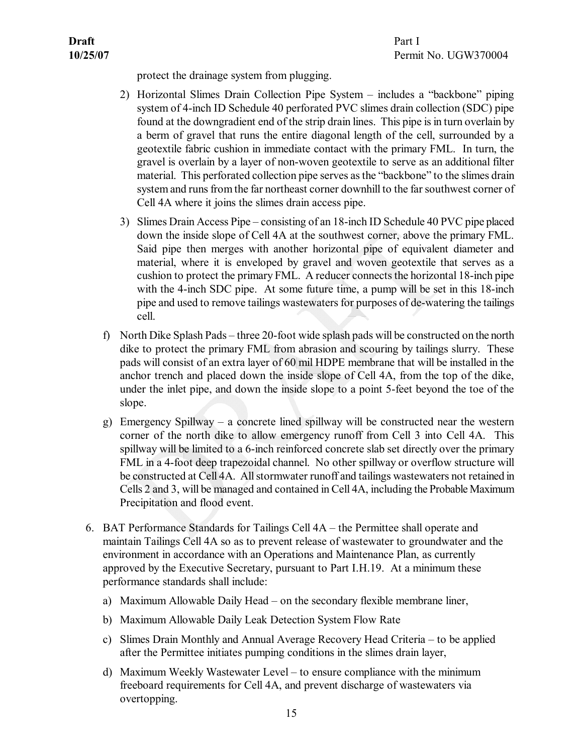protect the drainage system from plugging.

- 2) Horizontal Slimes Drain Collection Pipe System includes a "backbone" piping system of 4-inch ID Schedule 40 perforated PVC slimes drain collection (SDC) pipe found at the downgradient end of the strip drain lines. This pipe is in turn overlain by a berm of gravel that runs the entire diagonal length of the cell, surrounded by a geotextile fabric cushion in immediate contact with the primary FML. In turn, the gravel is overlain by a layer of nonwoven geotextile to serve as an additional filter material. This perforated collection pipe serves asthe "backbone" to the slimes drain system and runs from the far northeast corner downhill to the far southwest corner of Cell 4A where it joins the slimes drain access pipe.
- 3) Slimes Drain Access Pipe consisting of an 18-inch ID Schedule 40 PVC pipe placed down the inside slope of Cell 4A at the southwest corner, above the primary FML. Said pipe then merges with another horizontal pipe of equivalent diameter and material, where it is enveloped by gravel and woven geotextile that serves as a cushion to protect the primary FML. A reducer connects the horizontal 18-inch pipe with the 4-inch SDC pipe. At some future time, a pump will be set in this 18-inch pipe and used to remove tailings wastewaters for purposes of de-watering the tailings cell.
- f) North Dike Splash Pads three 20-foot wide splash pads will be constructed on the north dike to protect the primary FML from abrasion and scouring by tailings slurry. These pads will consist of an extra layer of 60 mil HDPE membrane that will be installed in the anchor trench and placed down the inside slope of Cell 4A, from the top of the dike, under the inlet pipe, and down the inside slope to a point 5-feet beyond the toe of the slope.
- g) Emergency Spillway a concrete lined spillway will be constructed near the western corner of the north dike to allow emergency runoff from Cell 3 into Cell 4A. This spillway will be limited to a 6-inch reinforced concrete slab set directly over the primary FML in a 4-foot deep trapezoidal channel. No other spillway or overflow structure will be constructed at Cell 4A. All stormwater runoff and tailings wastewaters not retained in Cells 2 and 3, will be managed and contained in Cell 4A, including the Probable Maximum Precipitation and flood event.
- <span id="page-18-0"></span>6. BAT Performance Standards for Tailings Cell 4A – the Permittee shall operate and maintain Tailings Cell 4A so as to prevent release of wastewater to groundwater and the environment in accordance with an Operations and Maintenance Plan, as currently approved by the Executive Secretary, pursuant to Part I.H.19. At a minimum these performance standards shall include:
	- a) Maximum Allowable Daily Head on the secondary flexible membrane liner,
	- b) Maximum Allowable Daily Leak Detection System Flow Rate
	- c) Slimes Drain Monthly and Annual Average Recovery Head Criteria to be applied after the Permittee initiates pumping conditions in the slimes drain layer,
	- d) Maximum Weekly Wastewater Level to ensure compliance with the minimum freeboard requirements for Cell 4A, and prevent discharge of wastewaters via overtopping.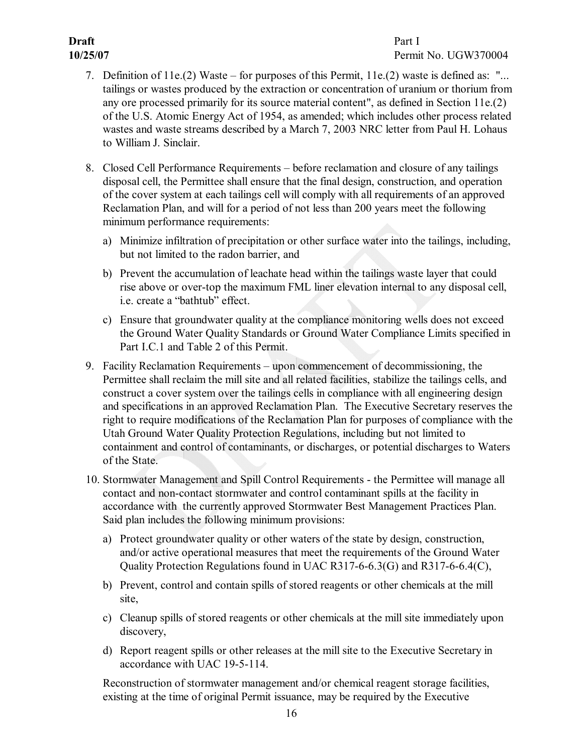# **Draft** Part I

- <span id="page-19-0"></span>7. Definition of 11e.(2) Waste – for purposes of this Permit, 11e.(2) waste is defined as: "... tailings or wastes produced by the extraction or concentration of uranium or thorium from any ore processed primarily for its source material content", as defined in Section 11e.(2) of the U.S. Atomic Energy Act of 1954, as amended; which includes other process related wastes and waste streams described by a March 7, 2003 NRC letter from Paul H. Lohaus to William J. Sinclair.
- <span id="page-19-1"></span>8. Closed Cell Performance Requirements – before reclamation and closure of any tailings disposal cell, the Permittee shall ensure that the final design, construction, and operation of the cover system at each tailings cell will comply with all requirements of an approved Reclamation Plan, and will for a period of not less than 200 years meet the following minimum performance requirements:
	- a) Minimize infiltration of precipitation or other surface water into the tailings, including, but not limited to the radon barrier, and
	- b) Prevent the accumulation of leachate head within the tailings waste layer that could rise above or over-top the maximum FML liner elevation internal to any disposal cell, i.e. create a "bathtub" effect.
	- c) Ensure that groundwater quality at the compliance monitoring wells does not exceed the Ground Water Quality Standards or Ground Water Compliance Limits specified in Part I.C.1 and Table 2 of this Permit.
- <span id="page-19-2"></span>9. Facility Reclamation Requirements – upon commencement of decommissioning, the Permittee shall reclaim the mill site and all related facilities, stabilize the tailings cells, and construct a cover system over the tailings cells in compliance with all engineering design and specifications in an approved Reclamation Plan. The Executive Secretary reserves the right to require modifications of the Reclamation Plan for purposes of compliance with the Utah Ground Water Quality Protection Regulations, including but not limited to containment and control of contaminants, or discharges, or potential discharges to Waters of the State.
- <span id="page-19-3"></span>10. Stormwater Management and Spill Control Requirements - the Permittee will manage all contact and non-contact stormwater and control contaminant spills at the facility in accordance with the currently approved Stormwater Best Management Practices Plan. Said plan includes the following minimum provisions:
	- a) Protect groundwater quality or other waters of the state by design, construction, and/or active operational measures that meet the requirements of the Ground Water Quality Protection Regulations found in UAC R317-6-6.3(G) and R317-6-6.4(C),
	- b) Prevent, control and contain spills of stored reagents or other chemicals at the mill site,
	- c) Cleanup spills of stored reagents or other chemicals at the mill site immediately upon discovery,
	- d) Report reagent spills or other releases at the mill site to the Executive Secretary in accordance with UAC 19-5-114.

Reconstruction of stormwater management and/or chemical reagent storage facilities, existing at the time of original Permit issuance, may be required by the Executive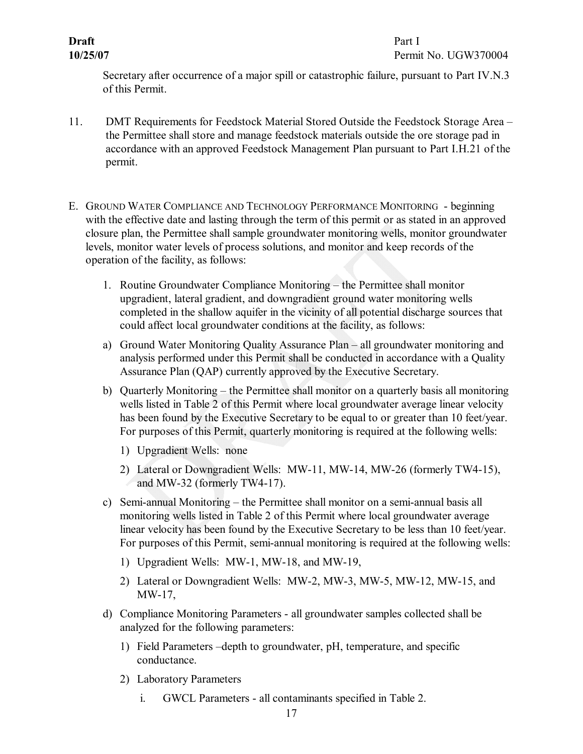**Draft** Part I

<span id="page-20-1"></span><span id="page-20-0"></span>Secretary after occurrence of a major spill or catastrophic failure, pursuant to Part IV.N.3 of this Permit.

- 11. DMT Requirements for Feedstock Material Stored Outside the Feedstock Storage Area the Permittee shall store and manage feedstock materials outside the ore storage pad in accordance with an approved Feedstock Management Plan pursuant to Part I.H.21 of the permit.
- <span id="page-20-2"></span>E. GROUND WATER COMPLIANCE AND TECHNOLOGY PERFORMANCE MONITORING beginning with the effective date and lasting through the term of this permit or as stated in an approved closure plan, the Permittee shall sample groundwater monitoring wells, monitor groundwater levels, monitor water levels of process solutions, and monitor and keep records of the operation of the facility, as follows:
	- 1. Routine Groundwater Compliance Monitoring the Permittee shall monitor upgradient, lateral gradient, and downgradient ground water monitoring wells completed in the shallow aquifer in the vicinity of all potential discharge sources that could affect local groundwater conditions at the facility, as follows:
	- a) Ground Water Monitoring Quality Assurance Plan all groundwater monitoring and analysis performed under this Permit shall be conducted in accordance with a Quality Assurance Plan (QAP) currently approved by the Executive Secretary.
	- b) Quarterly Monitoring the Permittee shall monitor on a quarterly basis all monitoring wells listed in Table 2 of this Permit where local groundwater average linear velocity has been found by the Executive Secretary to be equal to or greater than 10 feet/year. For purposes of this Permit, quarterly monitoring is required at the following wells:
		- 1) Upgradient Wells: none
		- 2) Lateral or Downgradient Wells: MW-11, MW-14, MW-26 (formerly TW4-15), and MW-32 (formerly TW4-17).
	- c) Semi-annual Monitoring the Permittee shall monitor on a semi-annual basis all monitoring wells listed in Table 2 of this Permit where local groundwater average linear velocity has been found by the Executive Secretary to be less than 10 feet/year. For purposes of this Permit, semi-annual monitoring is required at the following wells:
		- 1) Upgradient Wells: MW-1, MW-18, and MW-19,
		- 2) Lateral or Downgradient Wells: MW-2, MW-3, MW-5, MW-12, MW-15, and MW-17,
	- d) Compliance Monitoring Parameters all groundwater samples collected shall be analyzed for the following parameters:
		- 1) Field Parameters –depth to groundwater, pH, temperature, and specific conductance.
		- 2) Laboratory Parameters
			- i. GWCL Parameters all contaminants specified in Table 2.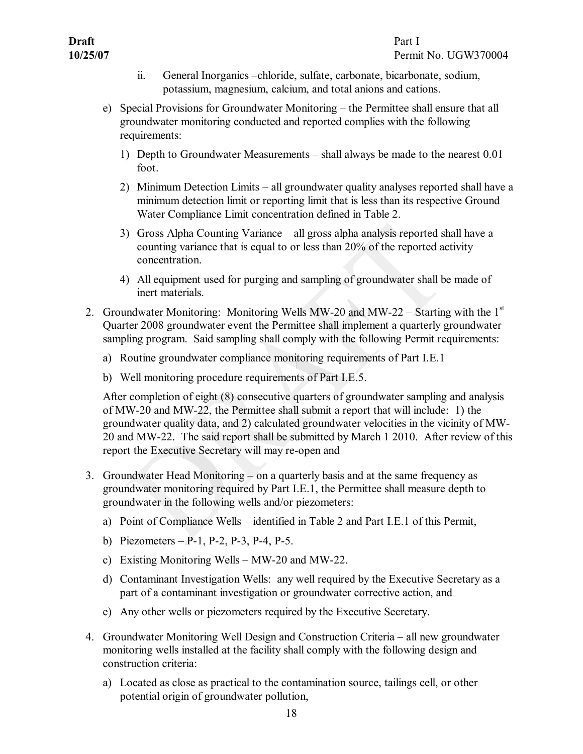- ii. General Inorganics –chloride, sulfate, carbonate, bicarbonate, sodium, potassium, magnesium, calcium, and total anions and cations.
- e) Special Provisions for Groundwater Monitoring the Permittee shall ensure that all groundwater monitoring conducted and reported complies with the following requirements:
	- 1) Depth to Groundwater Measurements shall always be made to the nearest 0.01 foot.
	- 2) Minimum Detection Limits all groundwater quality analyses reported shall have a minimum detection limit or reporting limit that is less than its respective Ground Water Compliance Limit concentration defined in Table 2.
	- 3) Gross Alpha Counting Variance all gross alpha analysis reported shall have a counting variance that is equal to or less than 20% of the reported activity concentration.
	- 4) All equipment used for purging and sampling of groundwater shall be made of inert materials.
- 2. Groundwater Monitoring: Monitoring Wells MW-20 and MW-22 Starting with the  $1<sup>st</sup>$ Quarter 2008 groundwater event the Permittee shall implement a quarterly groundwater sampling program. Said sampling shall comply with the following Permit requirements:
	- a) Routine groundwater compliance monitoring requirements of Part I.E.1
	- b) Well monitoring procedure requirements of Part I.E.5.

<span id="page-21-0"></span>After completion of eight (8) consecutive quarters of groundwater sampling and analysis of MW20 and MW22, the Permittee shall submit a report that will include: 1) the groundwater quality data, and 2) calculated groundwater velocities in the vicinity of MW 20 and MW22. The said report shall be submitted by March 1 2010. After review of this report the Executive Secretary will may re-open and

- <span id="page-21-1"></span>3. Groundwater Head Monitoring – on a quarterly basis and at the same frequency as groundwater monitoring required by Part I.E.1, the Permittee shall measure depth to groundwater in the following wells and/or piezometers:
	- a) Point of Compliance Wells identified in Table 2 and Part I.E.1 of this Permit,
	- b) Piezometers P-1, P-2, P-3, P-4, P-5.
	- c) Existing Monitoring Wells MW-20 and MW-22.
	- d) Contaminant Investigation Wells: any well required by the Executive Secretary as a part of a contaminant investigation or groundwater corrective action, and
	- e) Any other wells or piezometers required by the Executive Secretary.
- <span id="page-21-2"></span>4. Groundwater Monitoring Well Design and Construction Criteria – all new groundwater monitoring wells installed at the facility shall comply with the following design and construction criteria:
	- a) Located as close as practical to the contamination source, tailings cell, or other potential origin of groundwater pollution,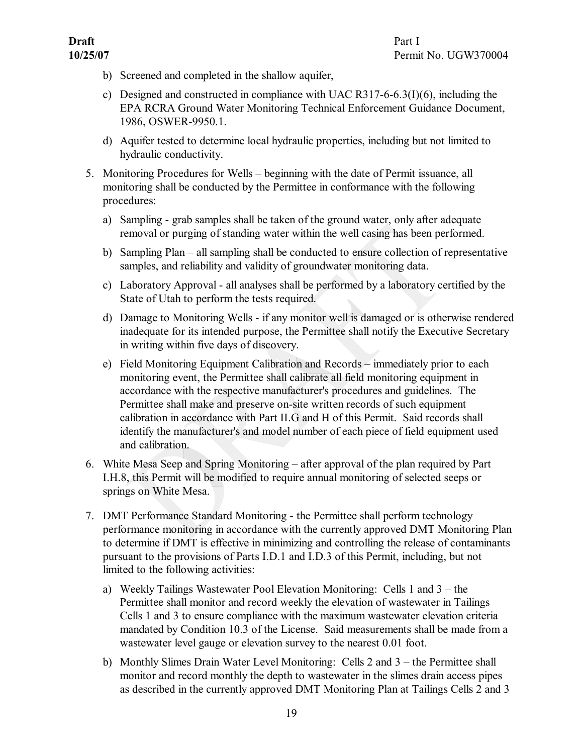**10/25/07** Permit No. UGW370004

- b) Screened and completed in the shallow aquifer,
- c) Designed and constructed in compliance with UAC R317-6-6.3(I)(6), including the EPA RCRA Ground Water Monitoring Technical Enforcement Guidance Document, 1986, OSWER-9950.1.
- <span id="page-22-0"></span>d) Aquifer tested to determine local hydraulic properties, including but not limited to hydraulic conductivity.
- 5. Monitoring Procedures for Wells beginning with the date of Permit issuance, all monitoring shall be conducted by the Permittee in conformance with the following procedures:
	- a) Sampling grab samples shall be taken of the ground water, only after adequate removal or purging of standing water within the well casing has been performed.
	- b) Sampling Plan all sampling shall be conducted to ensure collection of representative samples, and reliability and validity of groundwater monitoring data.
	- c) Laboratory Approval all analyses shall be performed by a laboratory certified by the State of Utah to perform the tests required.
	- d) Damage to Monitoring Wells if any monitor well is damaged or is otherwise rendered inadequate for its intended purpose, the Permittee shall notify the Executive Secretary in writing within five days of discovery.
	- e) Field Monitoring Equipment Calibration and Records immediately prior to each monitoring event, the Permittee shall calibrate all field monitoring equipment in accordance with the respective manufacturer's procedures and guidelines. The Permittee shall make and preserve on-site written records of such equipment calibration in accordance with Part II.G and H of this Permit. Said records shall identify the manufacturer's and model number of each piece of field equipment used and calibration.
- <span id="page-22-1"></span>6. White Mesa Seep and Spring Monitoring – after approval of the plan required by Part I.H.8, this Permit will be modified to require annual monitoring of selected seeps or springs on White Mesa.
- <span id="page-22-2"></span>7. DMT Performance Standard Monitoring - the Permittee shall perform technology performance monitoring in accordance with the currently approved DMT Monitoring Plan to determine if DMT is effective in minimizing and controlling the release of contaminants pursuant to the provisions of Parts I.D.1 and I.D.3 of this Permit, including, but not limited to the following activities:
	- a) Weekly Tailings Wastewater Pool Elevation Monitoring: Cells 1 and 3 the Permittee shall monitor and record weekly the elevation of wastewater in Tailings Cells 1 and 3 to ensure compliance with the maximum wastewater elevation criteria mandated by Condition 10.3 of the License. Said measurements shall be made from a wastewater level gauge or elevation survey to the nearest 0.01 foot.
	- b) Monthly Slimes Drain Water Level Monitoring: Cells 2 and 3 the Permittee shall monitor and record monthly the depth to wastewater in the slimes drain access pipes as described in the currently approved DMT Monitoring Plan at Tailings Cells 2 and 3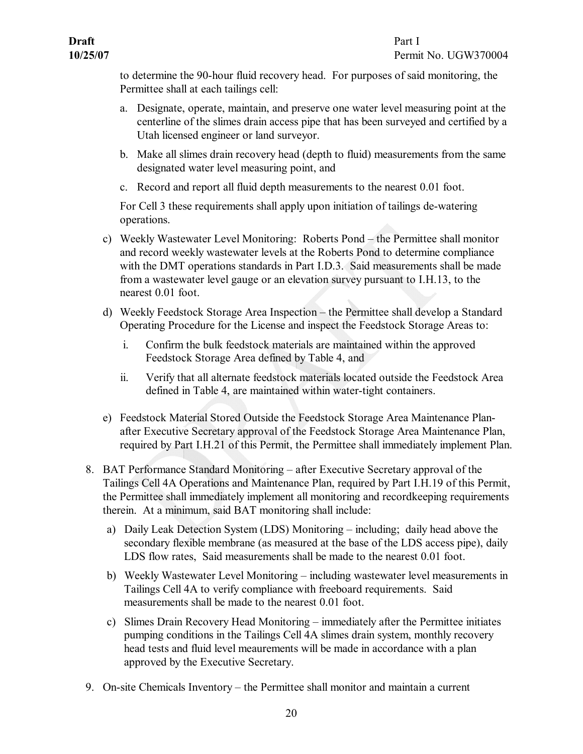to determine the 90-hour fluid recovery head. For purposes of said monitoring, the Permittee shall at each tailings cell:

- a. Designate, operate, maintain, and preserve one water level measuring point at the centerline of the slimes drain access pipe that has been surveyed and certified by a Utah licensed engineer or land surveyor.
- b. Make all slimes drain recovery head (depth to fluid) measurements from the same designated water level measuring point, and
- c. Record and report all fluid depth measurements to the nearest 0.01 foot.

For Cell 3 these requirements shall apply upon initiation of tailings de-watering operations.

- c) Weekly Wastewater Level Monitoring: Roberts Pond the Permittee shall monitor and record weekly wastewater levels at the Roberts Pond to determine compliance with the DMT operations standards in Part I.D.3. Said measurements shall be made from a wastewater level gauge or an elevation survey pursuant to I.H.13, to the nearest 0.01 foot.
- d) Weekly Feedstock Storage Area Inspection the Permittee shall develop a Standard Operating Procedure for the License and inspect the Feedstock Storage Areas to:
	- i. Confirm the bulk feedstock materials are maintained within the approved Feedstock Storage Area defined by Table 4, and
	- ii. Verify that all alternate feedstock materials located outside the Feedstock Area defined in Table 4, are maintained within water-tight containers.
- <span id="page-23-0"></span>e) Feedstock Material Stored Outside the Feedstock Storage Area Maintenance Plan after Executive Secretary approval of the Feedstock Storage Area Maintenance Plan, required by Part I.H.21 of this Permit, the Permittee shall immediately implement Plan.
- 8. BAT Performance Standard Monitoring after Executive Secretary approval of the Tailings Cell 4A Operations and Maintenance Plan, required by Part I.H.19 of this Permit, the Permittee shall immediately implement all monitoring and recordkeeping requirements therein. At a minimum, said BAT monitoring shall include:
	- a) Daily Leak Detection System (LDS) Monitoring including; daily head above the secondary flexible membrane (as measured at the base of the LDS access pipe), daily LDS flow rates. Said measurements shall be made to the nearest 0.01 foot.
	- b) Weekly Wastewater Level Monitoring including wastewater level measurements in Tailings Cell 4A to verify compliance with freeboard requirements. Said measurements shall be made to the nearest 0.01 foot.
	- c) Slimes Drain Recovery Head Monitoring immediately after the Permittee initiates pumping conditions in the Tailings Cell 4A slimes drain system, monthly recovery head tests and fluid level meaurements will be made in accordance with a plan approved by the Executive Secretary.
- <span id="page-23-1"></span>9. On-site Chemicals Inventory – the Permittee shall monitor and maintain a current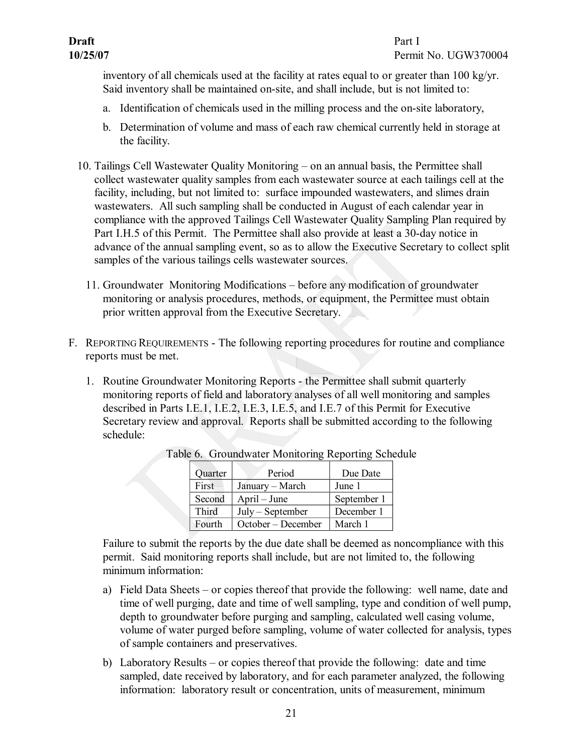inventory of all chemicals used at the facility at rates equal to or greater than 100 kg/yr. Said inventory shall be maintained on-site, and shall include, but is not limited to:

- a. Identification of chemicals used in the milling process and the onsite laboratory,
- <span id="page-24-0"></span>b. Determination of volume and mass of each raw chemical currently held in storage at the facility.
- 10. Tailings Cell Wastewater Quality Monitoring on an annual basis, the Permittee shall collect wastewater quality samples from each wastewater source at each tailings cell at the facility, including, but not limited to: surface impounded wastewaters, and slimes drain wastewaters. All such sampling shall be conducted in August of each calendar year in compliance with the approved Tailings Cell Wastewater Quality Sampling Plan required by Part I.H.5 of this Permit. The Permittee shall also provide at least a 30-day notice in advance of the annual sampling event, so as to allow the Executive Secretary to collect split samples of the various tailings cells wastewater sources.
	- 11. Groundwater Monitoring Modifications before any modification of groundwater monitoring or analysis procedures, methods, or equipment, the Permittee must obtain prior written approval from the Executive Secretary.
- F. REPORTING REQUIREMENTS The following reporting procedures for routine and compliance reports must be met.
	- 1. Routine Groundwater Monitoring Reports the Permittee shall submit quarterly monitoring reports of field and laboratory analyses of all well monitoring and samples described in Parts I.E.1, I.E.2, I.E.3, I.E.5, and I.E.7 of this Permit for Executive Secretary review and approval. Reports shall be submitted according to the following schedule:

<span id="page-24-4"></span><span id="page-24-3"></span>

| Quarter | Period             | Due Date    |
|---------|--------------------|-------------|
| First   | January – March    | June 1      |
| Second  | April – June       | September 1 |
| Third   | $July - September$ | December 1  |
| Fourth  | October – December | March 1     |

<span id="page-24-2"></span><span id="page-24-1"></span>Table 6. Groundwater Monitoring Reporting Schedule

Failure to submit the reports by the due date shall be deemed as noncompliance with this permit. Said monitoring reports shall include, but are not limited to, the following minimum information:

- a) Field Data Sheets or copies thereof that provide the following: well name, date and time of well purging, date and time of well sampling, type and condition of well pump, depth to groundwater before purging and sampling, calculated well casing volume, volume of water purged before sampling, volume of water collected for analysis, types of sample containers and preservatives.
- b) Laboratory Results or copies thereof that provide the following: date and time sampled, date received by laboratory, and for each parameter analyzed, the following information: laboratory result or concentration, units of measurement, minimum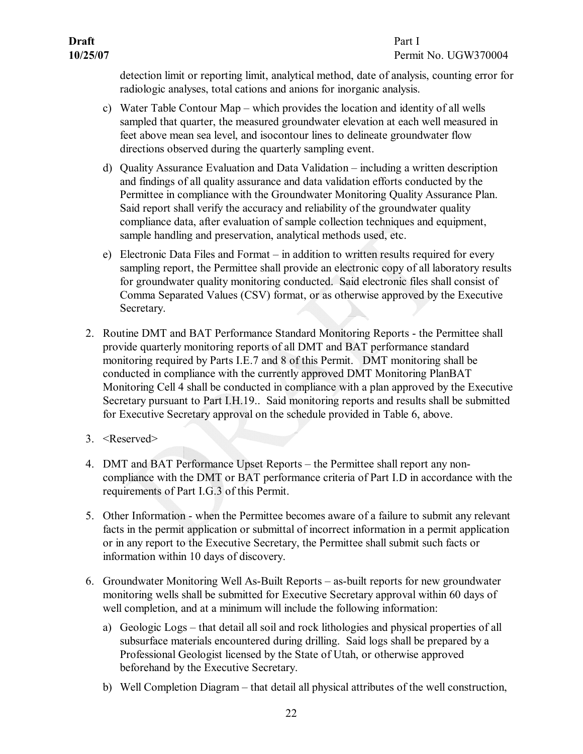# **10/25/07** Permit No. UGW370004

detection limit or reporting limit, analytical method, date of analysis, counting error for radiologic analyses, total cations and anions for inorganic analysis.

- c) Water Table Contour Map which provides the location and identity of all wells sampled that quarter, the measured groundwater elevation at each well measured in feet above mean sea level, and isocontour lines to delineate groundwater flow directions observed during the quarterly sampling event.
- d) Quality Assurance Evaluation and Data Validation including a written description and findings of all quality assurance and data validation efforts conducted by the Permittee in compliance with the Groundwater Monitoring Quality Assurance Plan. Said report shall verify the accuracy and reliability of the groundwater quality compliance data, after evaluation of sample collection techniques and equipment, sample handling and preservation, analytical methods used, etc.
- <span id="page-25-0"></span>e) Electronic Data Files and Format – in addition to written results required for every sampling report, the Permittee shall provide an electronic copy of all laboratory results for groundwater quality monitoring conducted. Said electronic files shall consist of Comma Separated Values (CSV) format, or as otherwise approved by the Executive Secretary.
- 2. Routine DMT and BAT Performance Standard Monitoring Reports the Permittee shall provide quarterly monitoring reports of all DMT and BAT performance standard monitoring required by Parts I.E.7 and 8 of this Permit. DMT monitoring shall be conducted in compliance with the currently approved DMT Monitoring PlanBAT Monitoring Cell 4 shall be conducted in compliance with a plan approved by the Executive Secretary pursuant to Part I.H.19.. Said monitoring reports and results shall be submitted for Executive Secretary approval on the schedule provided in Table 6, above.
- 3. <Reserved>
- <span id="page-25-2"></span><span id="page-25-1"></span>4. DMT and BAT Performance Upset Reports – the Permittee shall report any non compliance with the DMT or BAT performance criteria of Part I.D in accordance with the requirements of Part I.G.3 of this Permit.
- <span id="page-25-3"></span>5. Other Information - when the Permittee becomes aware of a failure to submit any relevant facts in the permit application or submittal of incorrect information in a permit application or in any report to the Executive Secretary, the Permittee shall submit such facts or information within 10 days of discovery.
- <span id="page-25-4"></span>6. Groundwater Monitoring Well As-Built Reports – as-built reports for new groundwater monitoring wells shall be submitted for Executive Secretary approval within 60 days of well completion, and at a minimum will include the following information:
	- a) Geologic Logs that detail all soil and rock lithologies and physical properties of all subsurface materials encountered during drilling. Said logs shall be prepared by a Professional Geologist licensed by the State of Utah, or otherwise approved beforehand by the Executive Secretary.
	- b) Well Completion Diagram that detail all physical attributes of the well construction,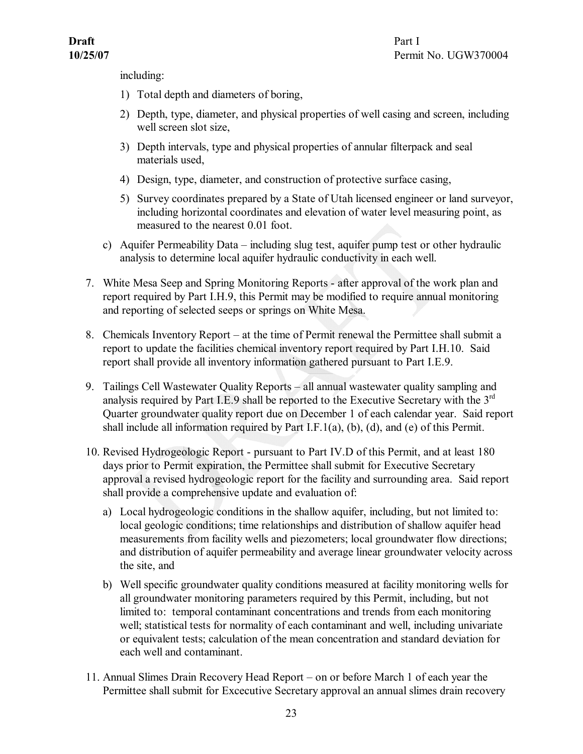including:

- 1) Total depth and diameters of boring,
- 2) Depth, type, diameter, and physical properties of well casing and screen, including well screen slot size,
- 3) Depth intervals, type and physical properties of annular filterpack and seal materials used,
- 4) Design, type, diameter, and construction of protective surface casing,
- <span id="page-26-0"></span>5) Survey coordinates prepared by a State of Utah licensed engineer or land surveyor, including horizontal coordinates and elevation of water level measuring point, as measured to the nearest 0.01 foot.
- c) Aquifer Permeability Data including slug test, aquifer pump test or other hydraulic analysis to determine local aquifer hydraulic conductivity in each well.
- 7. White Mesa Seep and Spring Monitoring Reports after approval of the work plan and report required by Part I.H.9, this Permit may be modified to require annual monitoring and reporting of selected seeps or springs on White Mesa.
- <span id="page-26-1"></span>8. Chemicals Inventory Report – at the time of Permit renewal the Permittee shall submit a report to update the facilities chemical inventory report required by Part I.H.10. Said report shall provide all inventory information gathered pursuant to Part I.E.9.
- <span id="page-26-2"></span>9. Tailings Cell Wastewater Quality Reports – all annual wastewater quality sampling and analysis required by Part I.E.9 shall be reported to the Executive Secretary with the  $3<sup>rd</sup>$ Quarter groundwater quality report due on December 1 of each calendar year. Said report shall include all information required by Part I.F.1(a), (b), (d), and (e) of this Permit.
- <span id="page-26-3"></span>10. Revised Hydrogeologic Report - pursuant to Part IV.D of this Permit, and at least 180 days prior to Permit expiration, the Permittee shall submit for Executive Secretary approval a revised hydrogeologic report for the facility and surrounding area. Said report shall provide a comprehensive update and evaluation of:
	- a) Local hydrogeologic conditions in the shallow aquifer, including, but not limited to: local geologic conditions; time relationships and distribution of shallow aquifer head measurements from facility wells and piezometers; local groundwater flow directions; and distribution of aquifer permeability and average linear groundwater velocity across the site, and
	- b) Well specific groundwater quality conditions measured at facility monitoring wells for all groundwater monitoring parameters required by this Permit, including, but not limited to: temporal contaminant concentrations and trends from each monitoring well; statistical tests for normality of each contaminant and well, including univariate or equivalent tests; calculation of the mean concentration and standard deviation for each well and contaminant.
- <span id="page-26-4"></span>11. Annual Slimes Drain Recovery Head Report – on or before March 1 of each year the Permittee shall submit for Excecutive Secretary approval an annual slimes drain recovery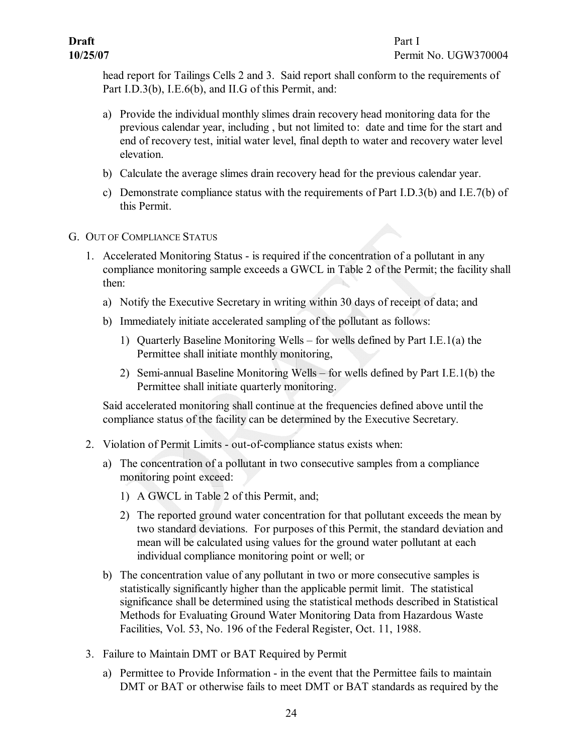head report for Tailings Cells 2 and 3. Said report shall conform to the requirements of Part I.D.3(b), I.E.6(b), and II.G of this Permit, and:

- a) Provide the individual monthly slimes drain recovery head monitoring data for the previous calendar year, including , but not limited to: date and time for the start and end of recovery test, initial water level, final depth to water and recovery water level elevation.
- b) Calculate the average slimes drain recovery head for the previous calendar year.
- <span id="page-27-1"></span>c) Demonstrate compliance status with the requirements of Part I.D.3(b) and I.E.7(b) of this Permit.
- <span id="page-27-0"></span>G. OUT OF COMPLIANCE STATUS
	- 1. Accelerated Monitoring Status is required if the concentration of a pollutant in any compliance monitoring sample exceeds a GWCL in Table 2 of the Permit; the facility shall then:
		- a) Notify the Executive Secretary in writing within 30 days of receipt of data; and
		- b) Immediately initiate accelerated sampling of the pollutant as follows:
			- 1) Quarterly Baseline Monitoring Wells for wells defined by Part I.E.1(a) the Permittee shall initiate monthly monitoring,
			- 2) Semi-annual Baseline Monitoring Wells for wells defined by Part I.E.1(b) the Permittee shall initiate quarterly monitoring.

<span id="page-27-2"></span>Said accelerated monitoring shall continue at the frequencies defined above until the compliance status of the facility can be determined by the Executive Secretary.

- 2. Violation of Permit Limits out-of-compliance status exists when:
	- a) The concentration of a pollutant in two consecutive samples from a compliance monitoring point exceed:
		- 1) A GWCL in Table 2 of this Permit, and;
		- 2) The reported ground water concentration for that pollutant exceeds the mean by two standard deviations. For purposes of this Permit, the standard deviation and mean will be calculated using values for the ground water pollutant at each individual compliance monitoring point or well; or
	- b) The concentration value of any pollutant in two or more consecutive samples is statistically significantly higher than the applicable permit limit. The statistical significance shall be determined using the statistical methods described in Statistical Methods for Evaluating Ground Water Monitoring Data from Hazardous Waste Facilities, Vol. 53, No. 196 of the Federal Register, Oct. 11, 1988.
- <span id="page-27-3"></span>3. Failure to Maintain DMT or BAT Required by Permit
	- a) Permittee to Provide Information in the event that the Permittee fails to maintain DMT or BAT or otherwise fails to meet DMT or BAT standards as required by the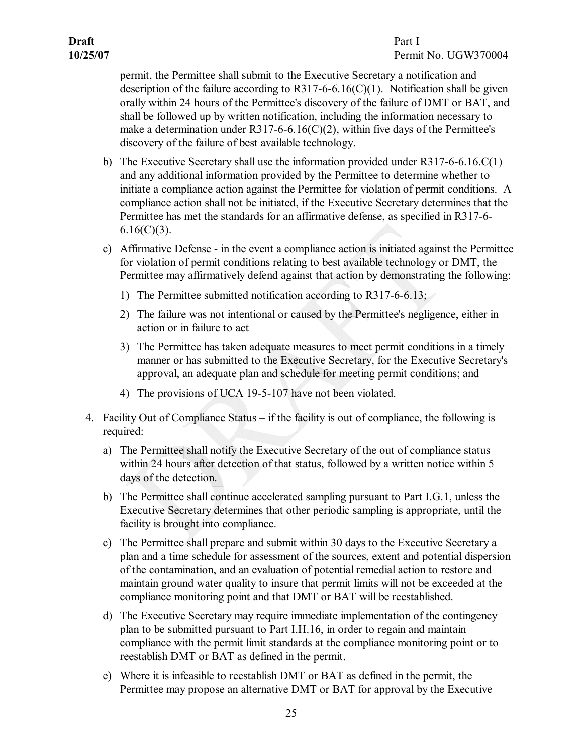# **10/25/07** Permit No. UGW370004

permit, the Permittee shall submit to the Executive Secretary a notification and description of the failure according to R317-6-6.16(C)(1). Notification shall be given orally within 24 hours of the Permittee's discovery of the failure of DMT or BAT, and shall be followed up by written notification, including the information necessary to make a determination under R317-6-6.16(C)(2), within five days of the Permittee's discovery of the failure of best available technology.

- b) The Executive Secretary shall use the information provided under  $R317-6-6.16$ .C(1) and any additional information provided by the Permittee to determine whether to initiate a compliance action against the Permittee for violation of permit conditions. A compliance action shall not be initiated, if the Executive Secretary determines that the Permittee has met the standards for an affirmative defense, as specified in R317-6- $6.16(C)(3)$ .
- c) Affirmative Defense in the event a compliance action is initiated against the Permittee for violation of permit conditions relating to best available technology or DMT, the Permittee may affirmatively defend against that action by demonstrating the following:
	- 1) The Permittee submitted notification according to R317-6-6.13;
	- 2) The failure was not intentional or caused by the Permittee's negligence, either in action or in failure to act
	- 3) The Permittee has taken adequate measures to meet permit conditions in a timely manner or has submitted to the Executive Secretary, for the Executive Secretary's approval, an adequate plan and schedule for meeting permit conditions; and
	- 4) The provisions of UCA 19-5-107 have not been violated.
- <span id="page-28-0"></span>4. Facility Out of Compliance Status – if the facility is out of compliance, the following is required:
	- a) The Permittee shall notify the Executive Secretary of the out of compliance status within 24 hours after detection of that status, followed by a written notice within 5 days of the detection.
	- b) The Permittee shall continue accelerated sampling pursuant to Part I.G.1, unless the Executive Secretary determines that other periodic sampling is appropriate, until the facility is brought into compliance.
	- c) The Permittee shall prepare and submit within 30 days to the Executive Secretary a plan and a time schedule for assessment of the sources, extent and potential dispersion of the contamination, and an evaluation of potential remedial action to restore and maintain ground water quality to insure that permit limits will not be exceeded at the compliance monitoring point and that DMT or BAT will be reestablished.
	- d) The Executive Secretary may require immediate implementation of the contingency plan to be submitted pursuant to Part I.H.16, in order to regain and maintain compliance with the permit limit standards at the compliance monitoring point or to reestablish DMT or BAT as defined in the permit.
	- e) Where it is infeasible to reestablish DMT or BAT as defined in the permit, the Permittee may propose an alternative DMT or BAT for approval by the Executive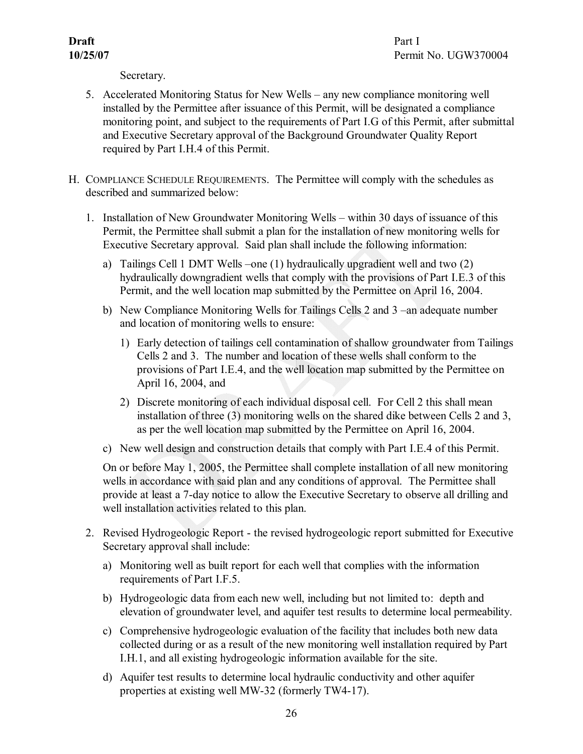**10/25/07** Permit No. UGW370004

<span id="page-29-2"></span><span id="page-29-1"></span><span id="page-29-0"></span>Secretary.

- 5. Accelerated Monitoring Status for New Wells any new compliance monitoring well installed by the Permittee after issuance of this Permit, will be designated a compliance monitoring point, and subject to the requirements of Part I.G of this Permit, after submittal and Executive Secretary approval of the Background Groundwater Quality Report required by Part I.H.4 of this Permit.
- H. COMPLIANCE SCHEDULE REQUIREMENTS. The Permittee will comply with the schedules as described and summarized below:
	- 1. Installation of New Groundwater Monitoring Wells within 30 days of issuance of this Permit, the Permittee shall submit a plan for the installation of new monitoring wells for Executive Secretary approval. Said plan shall include the following information:
		- a) Tailings Cell 1 DMT Wells –one (1) hydraulically upgradient well and two (2) hydraulically downgradient wells that comply with the provisions of Part I.E.3 of this Permit, and the well location map submitted by the Permittee on April 16, 2004.
		- b) New Compliance Monitoring Wells for Tailings Cells 2 and 3 –an adequate number and location of monitoring wells to ensure:
			- 1) Early detection of tailings cell contamination of shallow groundwater from Tailings Cells 2 and 3. The number and location of these wells shall conform to the provisions of Part I.E.4, and the well location map submitted by the Permittee on April 16, 2004, and
			- 2) Discrete monitoring of each individual disposal cell. For Cell 2 this shall mean installation of three (3) monitoring wells on the shared dike between Cells 2 and 3, as per the well location map submitted by the Permittee on April 16, 2004.
		- c) New well design and construction details that comply with Part I.E.4 of this Permit.

<span id="page-29-3"></span>On or before May 1, 2005, the Permittee shall complete installation of all new monitoring wells in accordance with said plan and any conditions of approval. The Permittee shall provide at least a 7-day notice to allow the Executive Secretary to observe all drilling and well installation activities related to this plan.

- 2. Revised Hydrogeologic Report the revised hydrogeologic report submitted for Executive Secretary approval shall include:
	- a) Monitoring well as built report for each well that complies with the information requirements of Part I.F.5.
	- b) Hydrogeologic data from each new well, including but not limited to: depth and elevation of groundwater level, and aquifer test results to determine local permeability.
	- c) Comprehensive hydrogeologic evaluation of the facility that includes both new data collected during or as a result of the new monitoring well installation required by Part I.H.1, and all existing hydrogeologic information available for the site.
	- d) Aquifer test results to determine local hydraulic conductivity and other aquifer properties at existing well MW-32 (formerly TW4-17).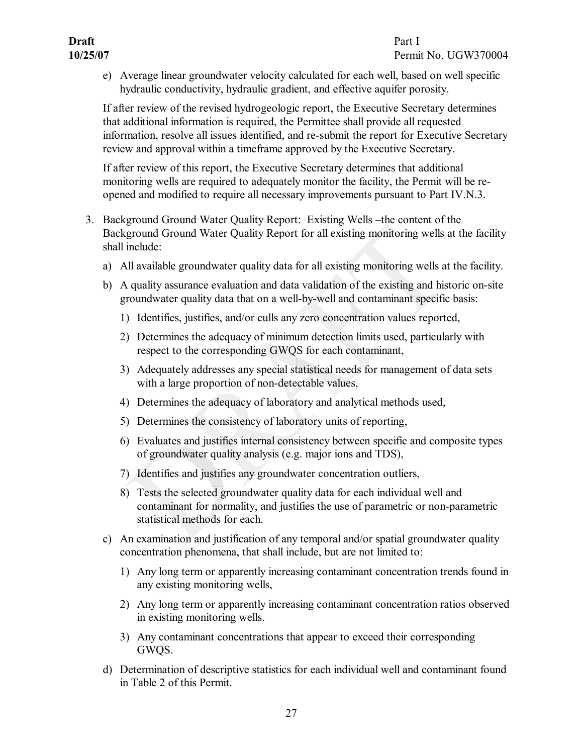e) Average linear groundwater velocity calculated for each well, based on well specific hydraulic conductivity, hydraulic gradient, and effective aquifer porosity.

If after review of the revised hydrogeologic report, the Executive Secretary determines that additional information is required, the Permittee shall provide all requested information, resolve all issues identified, and re-submit the report for Executive Secretary review and approval within a timeframe approved by the Executive Secretary.

<span id="page-30-0"></span>If after review of this report, the Executive Secretary determines that additional monitoring wells are required to adequately monitor the facility, the Permit will be re opened and modified to require all necessary improvements pursuant to Part IV.N.3.

- 3. Background Ground Water Quality Report: Existing Wells –the content of the Background Ground Water Quality Report for all existing monitoring wells at the facility shall include:
	- a) All available groundwater quality data for all existing monitoring wells at the facility.
	- b) A quality assurance evaluation and data validation of the existing and historic on-site groundwater quality data that on a well-by-well and contaminant specific basis:
		- 1) Identifies, justifies, and/or culls any zero concentration values reported,
		- 2) Determines the adequacy of minimum detection limits used, particularly with respect to the corresponding GWQS for each contaminant,
		- 3) Adequately addresses any special statistical needs for management of data sets with a large proportion of non-detectable values,
		- 4) Determines the adequacy of laboratory and analytical methods used,
		- 5) Determines the consistency of laboratory units of reporting,
		- 6) Evaluates and justifies internal consistency between specific and composite types of groundwater quality analysis (e.g. major ions and TDS),
		- 7) Identifies and justifies any groundwater concentration outliers,
		- 8) Tests the selected groundwater quality data for each individual well and contaminant for normality, and justifies the use of parametric or non-parametric statistical methods for each.
	- c) An examination and justification of any temporal and/or spatial groundwater quality concentration phenomena, that shall include, but are not limited to:
		- 1) Any long term or apparently increasing contaminant concentration trends found in any existing monitoring wells,
		- 2) Any long term or apparently increasing contaminant concentration ratios observed in existing monitoring wells.
		- 3) Any contaminant concentrations that appear to exceed their corresponding GWQS.
	- d) Determination of descriptive statistics for each individual well and contaminant found in Table 2 of this Permit.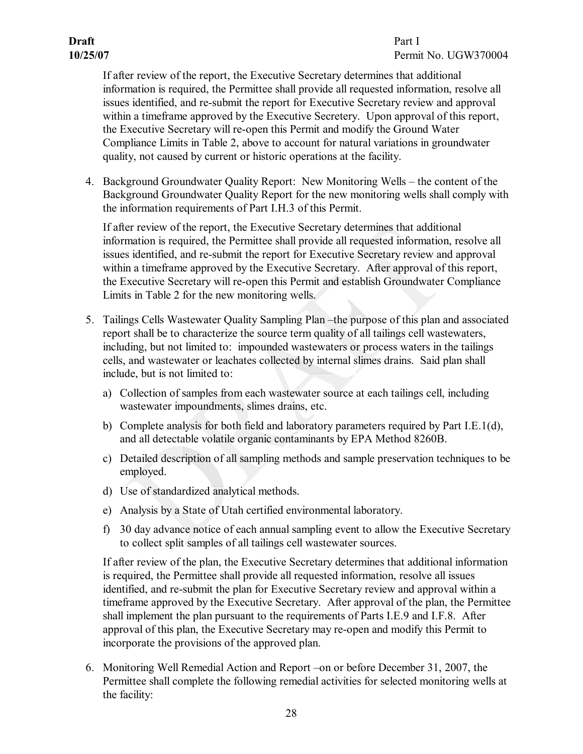# **Draft** Part I

# **10/25/07** Permit No. UGW370004

If after review of the report, the Executive Secretary determines that additional information is required, the Permittee shall provide all requested information, resolve all issues identified, and re-submit the report for Executive Secretary review and approval within a timeframe approved by the Executive Secretery. Upon approval of this report, the Executive Secretary will re-open this Permit and modify the Ground Water Compliance Limits in Table 2, above to account for natural variations in groundwater quality, not caused by current or historic operations at the facility.

4. Background Groundwater Quality Report: New Monitoring Wells – the content of the Background Groundwater Quality Report for the new monitoring wells shall comply with the information requirements of Part I.H.3 of this Permit.

<span id="page-31-0"></span>If after review of the report, the Executive Secretary determines that additional information is required, the Permittee shall provide all requested information, resolve all issues identified, and re-submit the report for Executive Secretary review and approval within a timeframe approved by the Executive Secretary. After approval of this report, the Executive Secretary will re-open this Permit and establish Groundwater Compliance Limits in Table 2 for the new monitoring wells.

- <span id="page-31-1"></span>5. Tailings Cells Wastewater Quality Sampling Plan –the purpose of this plan and associated report shall be to characterize the source term quality of all tailings cell wastewaters, including, but not limited to: impounded wastewaters or process waters in the tailings cells, and wastewater or leachates collected by internal slimes drains. Said plan shall include, but is not limited to:
	- a) Collection of samples from each wastewater source at each tailings cell, including wastewater impoundments, slimes drains, etc.
	- b) Complete analysis for both field and laboratory parameters required by Part I.E.1(d), and all detectable volatile organic contaminants by EPA Method 8260B.
	- c) Detailed description of all sampling methods and sample preservation techniques to be employed.
	- d) Use of standardized analytical methods.
	- e) Analysis by a State of Utah certified environmental laboratory.
	- f) 30 day advance notice of each annual sampling event to allow the Executive Secretary to collect split samples of all tailings cell wastewater sources.

If after review of the plan, the Executive Secretary determines that additional information is required, the Permittee shall provide all requested information, resolve all issues identified, and resubmit the plan for Executive Secretary review and approval within a timeframe approved by the Executive Secretary. After approval of the plan, the Permittee shall implement the plan pursuant to the requirements of Parts I.E.9 and I.F.8. After approval of this plan, the Executive Secretary may re-open and modify this Permit to incorporate the provisions of the approved plan.

<span id="page-31-2"></span>6. Monitoring Well Remedial Action and Report –on or before December 31, 2007, the Permittee shall complete the following remedial activities for selected monitoring wells at the facility: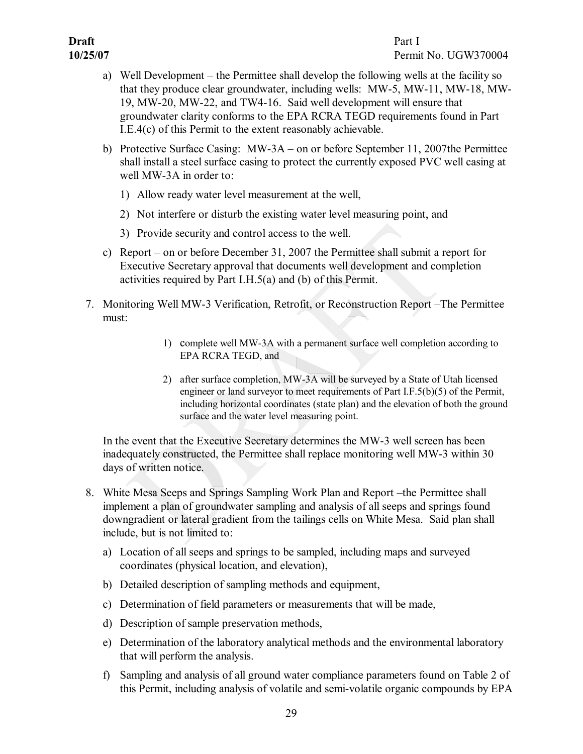- a) Well Development the Permittee shall develop the following wells at the facility so that they produce clear groundwater, including wells: MW-5, MW-11, MW-18, MW-19, MW20, MW22, and TW416. Said well development will ensure that groundwater clarity conforms to the EPA RCRA TEGD requirements found in Part I.E.4(c) of this Permit to the extent reasonably achievable.
- b) Protective Surface Casing: MW3A on or before September 11, 2007the Permittee shall install a steel surface casing to protect the currently exposed PVC well casing at well MW-3A in order to:
	- 1) Allow ready water level measurement at the well,
	- 2) Not interfere or disturb the existing water level measuring point, and
	- 3) Provide security and control access to the well.
- <span id="page-32-0"></span>c) Report – on or before December 31, 2007 the Permittee shall submit a report for Executive Secretary approval that documents well development and completion activities required by Part I.H.5(a) and (b) of this Permit.
- 7. Monitoring Well MW3 Verification, Retrofit, or Reconstruction Report –The Permittee must:
	- 1) complete well MW3A with a permanent surface well completion according to EPA RCRA TEGD, and
	- 2) after surface completion, MW-3A will be surveyed by a State of Utah licensed engineer or land surveyor to meet requirements of Part I.F.5(b)(5) of the Permit, including horizontal coordinates (state plan) and the elevation of both the ground surface and the water level measuring point.

<span id="page-32-1"></span>In the event that the Executive Secretary determines the MW-3 well screen has been inadequately constructed, the Permittee shall replace monitoring well MW-3 within 30 days of written notice.

- 8. White Mesa Seeps and Springs Sampling Work Plan and Report –the Permittee shall implement a plan of groundwater sampling and analysis of all seeps and springs found downgradient or lateral gradient from the tailings cells on White Mesa. Said plan shall include, but is not limited to:
	- a) Location of all seeps and springs to be sampled, including maps and surveyed coordinates (physical location, and elevation),
	- b) Detailed description of sampling methods and equipment,
	- c) Determination of field parameters or measurements that will be made,
	- d) Description of sample preservation methods,
	- e) Determination of the laboratory analytical methods and the environmental laboratory that will perform the analysis.
	- f) Sampling and analysis of all ground water compliance parameters found on Table 2 of this Permit, including analysis of volatile and semi-volatile organic compounds by EPA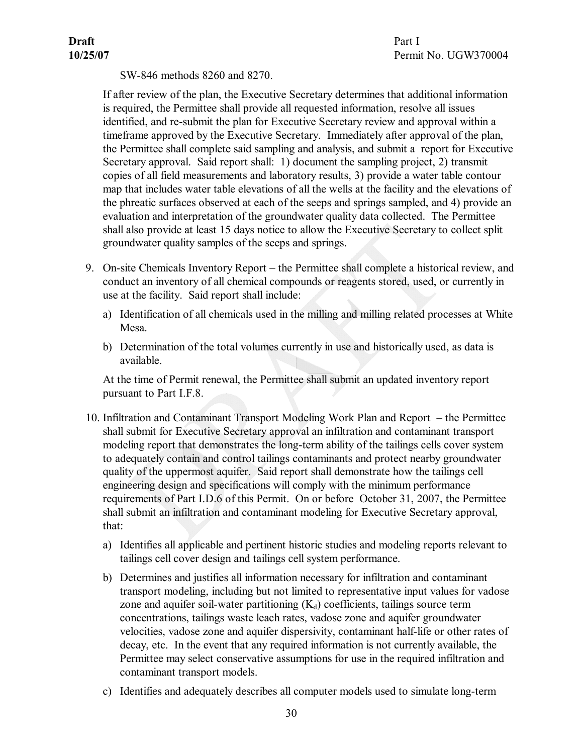SW-846 methods 8260 and 8270.

If after review of the plan, the Executive Secretary determines that additional information is required, the Permittee shall provide all requested information, resolve all issues identified, and re-submit the plan for Executive Secretary review and approval within a timeframe approved by the Executive Secretary. Immediately after approval of the plan, the Permittee shall complete said sampling and analysis, and submit a report for Executive Secretary approval. Said report shall: 1) document the sampling project, 2) transmit copies of all field measurements and laboratory results, 3) provide a water table contour map that includes water table elevations of all the wells at the facility and the elevations of the phreatic surfaces observed at each of the seeps and springs sampled, and 4) provide an evaluation and interpretation of the groundwater quality data collected. The Permittee shall also provide at least 15 days notice to allow the Executive Secretary to collect split groundwater quality samples of the seeps and springs.

- <span id="page-33-0"></span>9. On-site Chemicals Inventory Report – the Permittee shall complete a historical review, and conduct an inventory of all chemical compounds or reagents stored, used, or currently in use at the facility. Said report shall include:
	- a) Identification of all chemicals used in the milling and milling related processes at White Mesa.
	- b) Determination of the total volumes currently in use and historically used, as data is available.

<span id="page-33-1"></span>At the time of Permit renewal, the Permittee shall submit an updated inventory report pursuant to Part I.F.8.

- 10. Infiltration and Contaminant Transport Modeling Work Plan and Report the Permittee shall submit for Executive Secretary approval an infiltration and contaminant transport modeling report that demonstrates the long-term ability of the tailings cells cover system to adequately contain and control tailings contaminants and protect nearby groundwater quality of the uppermost aquifer. Said report shall demonstrate how the tailings cell engineering design and specifications will comply with the minimum performance requirements of Part I.D.6 of this Permit. On or before October 31, 2007, the Permittee shall submit an infiltration and contaminant modeling for Executive Secretary approval, that:
	- a) Identifies all applicable and pertinent historic studies and modeling reports relevant to tailings cell cover design and tailings cell system performance.
	- b) Determines and justifies all information necessary for infiltration and contaminant transport modeling, including but not limited to representative input values for vadose zone and aquifer soil-water partitioning  $(K_d)$  coefficients, tailings source term concentrations, tailings waste leach rates, vadose zone and aquifer groundwater velocities, vadose zone and aquifer dispersivity, contaminant half-life or other rates of decay, etc. In the event that any required information is not currently available, the Permittee may select conservative assumptions for use in the required infiltration and contaminant transport models.
	- c) Identifies and adequately describes all computer models used to simulate long-term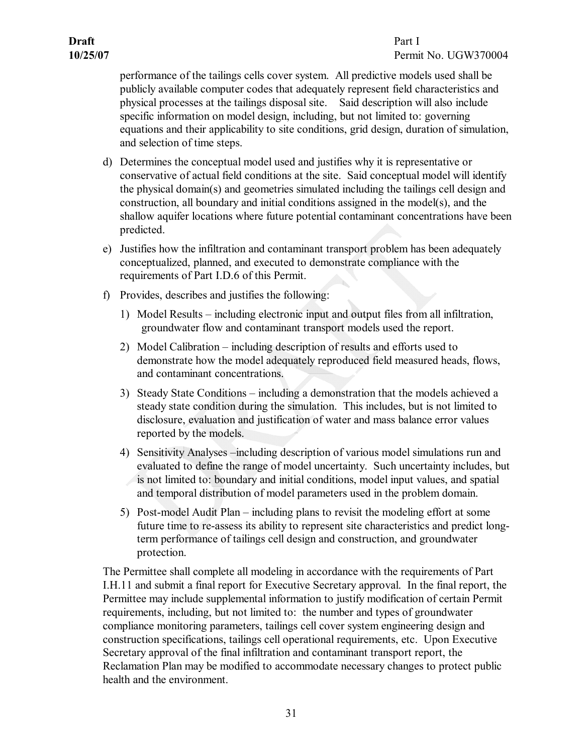performance of the tailings cells cover system. All predictive models used shall be publicly available computer codes that adequately represent field characteristics and physical processes at the tailings disposal site. Said description will also include specific information on model design, including, but not limited to: governing equations and their applicability to site conditions, grid design, duration of simulation, and selection of time steps.

- d) Determines the conceptual model used and justifies why it is representative or conservative of actual field conditions at the site. Said conceptual model will identify the physical domain(s) and geometries simulated including the tailings cell design and construction, all boundary and initial conditions assigned in the model(s), and the shallow aquifer locations where future potential contaminant concentrations have been predicted.
- e) Justifies how the infiltration and contaminant transport problem has been adequately conceptualized, planned, and executed to demonstrate compliance with the requirements of Part I.D.6 of this Permit.
- f) Provides, describes and justifies the following:
	- 1) Model Results including electronic input and output files from all infiltration, groundwater flow and contaminant transport models used the report.
	- 2) Model Calibration including description of results and efforts used to demonstrate how the model adequately reproduced field measured heads, flows, and contaminant concentrations.
	- 3) Steady State Conditions including a demonstration that the models achieved a steady state condition during the simulation. This includes, but is not limited to disclosure, evaluation and justification of water and mass balance error values reported by the models.
	- 4) Sensitivity Analyses –including description of various model simulations run and evaluated to define the range of model uncertainty. Such uncertainty includes, but is not limited to: boundary and initial conditions, model input values, and spatial and temporal distribution of model parameters used in the problem domain.
	- 5) Post-model Audit Plan including plans to revisit the modeling effort at some future time to re-assess its ability to represent site characteristics and predict longterm performance of tailings cell design and construction, and groundwater protection.

The Permittee shall complete all modeling in accordance with the requirements of Part I.H.11 and submit a final report for Executive Secretary approval. In the final report, the Permittee may include supplemental information to justify modification of certain Permit requirements, including, but not limited to: the number and types of groundwater compliance monitoring parameters, tailings cell cover system engineering design and construction specifications, tailings cell operational requirements, etc. Upon Executive Secretary approval of the final infiltration and contaminant transport report, the Reclamation Plan may be modified to accommodate necessary changes to protect public health and the environment.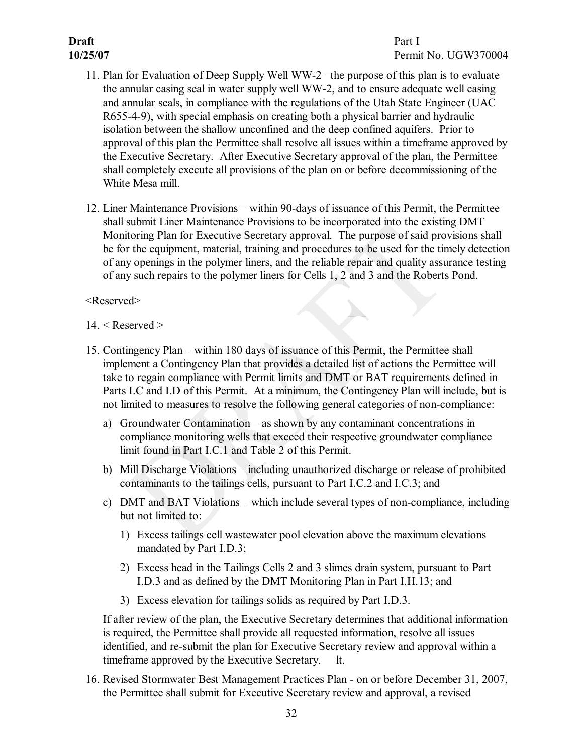- <span id="page-35-0"></span>11. Plan for Evaluation of Deep Supply Well WW-2 –the purpose of this plan is to evaluate the annular casing seal in water supply well WW-2, and to ensure adequate well casing and annular seals, in compliance with the regulations of the Utah State Engineer (UAC R65549), with special emphasis on creating both a physical barrier and hydraulic isolation between the shallow unconfined and the deep confined aquifers. Prior to approval of this plan the Permittee shall resolve all issues within a timeframe approved by the Executive Secretary. After Executive Secretary approval of the plan, the Permittee shall completely execute all provisions of the plan on or before decommissioning of the White Mesa mill.
- <span id="page-35-1"></span>12. Liner Maintenance Provisions – within 90-days of issuance of this Permit, the Permittee shall submit Liner Maintenance Provisions to be incorporated into the existing DMT Monitoring Plan for Executive Secretary approval. The purpose of said provisions shall be for the equipment, material, training and procedures to be used for the timely detection of any openings in the polymer liners, and the reliable repair and quality assurance testing of any such repairs to the polymer liners for Cells 1, 2 and 3 and the Roberts Pond.

<Reserved>

- <span id="page-35-2"></span> $14. <$  Reserved  $>$
- <span id="page-35-4"></span><span id="page-35-3"></span>15. Contingency Plan – within 180 days of issuance of this Permit, the Permittee shall implement a Contingency Plan that provides a detailed list of actions the Permittee will take to regain compliance with Permit limits and DMT or BAT requirements defined in Parts I.C and I.D of this Permit. At a minimum, the Contingency Plan will include, but is not limited to measures to resolve the following general categories of non-compliance:
	- a) Groundwater Contamination as shown by any contaminant concentrations in compliance monitoring wells that exceed their respective groundwater compliance limit found in Part I.C.1 and Table 2 of this Permit.
	- b) Mill Discharge Violations including unauthorized discharge or release of prohibited contaminants to the tailings cells, pursuant to Part I.C.2 and I.C.3; and
	- c) DMT and BAT Violations which include several types of non-compliance, including but not limited to:
		- 1) Excess tailings cell wastewater pool elevation above the maximum elevations mandated by Part I.D.3;
		- 2) Excess head in the Tailings Cells 2 and 3 slimes drain system, pursuant to Part I.D.3 and as defined by the DMT Monitoring Plan in Part I.H.13; and
		- 3) Excess elevation for tailings solids as required by Part I.D.3.

<span id="page-35-5"></span>If after review of the plan, the Executive Secretary determines that additional information is required, the Permittee shall provide all requested information, resolve all issues identified, and re-submit the plan for Executive Secretary review and approval within a timeframe approved by the Executive Secretary. lt.

16. Revised Stormwater Best Management Practices Plan - on or before December 31, 2007, the Permittee shall submit for Executive Secretary review and approval, a revised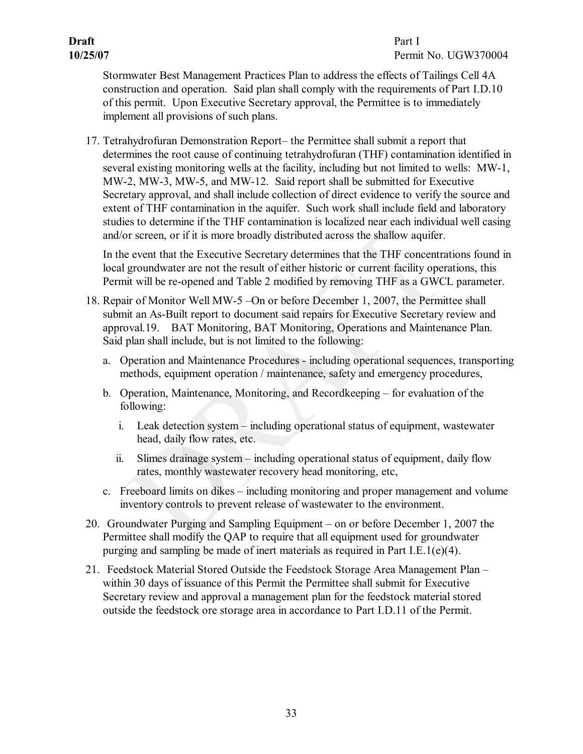# **Draft** Part I

<span id="page-36-0"></span>Stormwater Best Management Practices Plan to address the effects of Tailings Cell 4A construction and operation. Said plan shall comply with the requirements of Part I.D.10 of this permit. Upon Executive Secretary approval, the Permittee is to immediately implement all provisions of such plans.

17. Tetrahydrofuran Demonstration Report– the Permittee shall submit a report that determines the root cause of continuing tetrahydrofuran (THF) contamination identified in several existing monitoring wells at the facility, including but not limited to wells: MW-1, MW-2, MW-3, MW-5, and MW-12. Said report shall be submitted for Executive Secretary approval, and shall include collection of direct evidence to verify the source and extent of THF contamination in the aquifer. Such work shall include field and laboratory studies to determine if the THF contamination is localized near each individual well casing and/or screen, or if it is more broadly distributed across the shallow aquifer.

<span id="page-36-2"></span><span id="page-36-1"></span>In the event that the Executive Secretary determines that the THF concentrations found in local groundwater are not the result of either historic or current facility operations, this Permit will be re-opened and Table 2 modified by removing THF as a GWCL parameter.

- 18. Repair of Monitor Well MW5 –On or before December 1, 2007, the Permittee shall submit an As-Built report to document said repairs for Executive Secretary review and approval.19. BAT Monitoring, BAT Monitoring, Operations and Maintenance Plan. Said plan shall include, but is not limited to the following:
	- a. Operation and Maintenance Procedures including operational sequences, transporting methods, equipment operation / maintenance, safety and emergency procedures,
	- b. Operation, Maintenance, Monitoring, and Recordkeeping for evaluation of the following:
		- i. Leak detection system including operational status of equipment, wastewater head, daily flow rates, etc.
		- ii. Slimes drainage system including operational status of equipment, daily flow rates, monthly wastewater recovery head monitoring, etc,
	- c. Freeboard limits on dikes including monitoring and proper management and volume inventory controls to prevent release of wastewater to the environment.
- <span id="page-36-3"></span>20. Groundwater Purging and Sampling Equipment – on or before December 1, 2007 the Permittee shall modify the QAP to require that all equipment used for groundwater purging and sampling be made of inert materials as required in Part I.E.1(e)(4).
- <span id="page-36-4"></span>21. Feedstock Material Stored Outside the Feedstock Storage Area Management Plan – within 30 days of issuance of this Permit the Permittee shall submit for Executive Secretary review and approval a management plan for the feedstock material stored outside the feedstock ore storage area in accordance to Part I.D.11 of the Permit.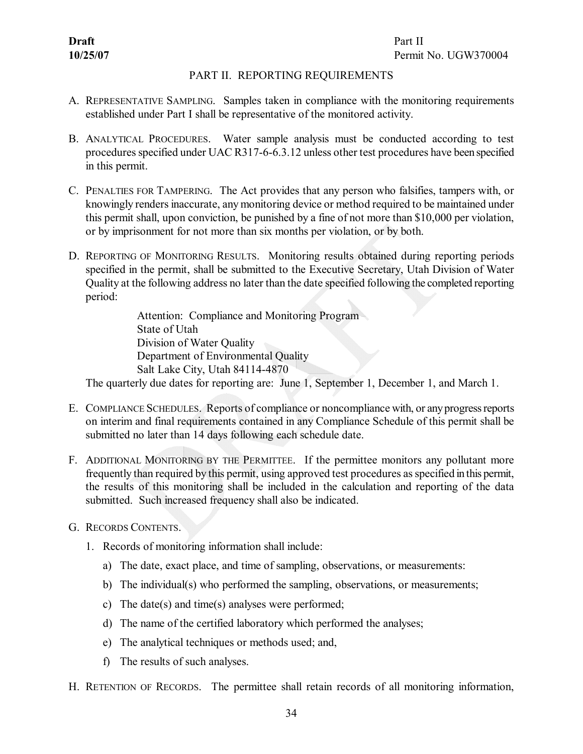#### <span id="page-37-3"></span><span id="page-37-2"></span><span id="page-37-1"></span>PART II. REPORTING REQUIREMENTS

- <span id="page-37-0"></span>A. REPRESENTATIVE SAMPLING. Samples taken in compliance with the monitoring requirements established under Part I shall be representative of the monitored activity.
- B. ANALYTICAL PROCEDURES. Water sample analysis must be conducted according to test procedures specified under UAC R317-6-6.3.12 unless other test procedures have been specified in this permit.
- C. PENALTIES FOR TAMPERING. The Act provides that any person who falsifies, tampers with, or knowingly renders inaccurate, any monitoring device or method required to be maintained under this permit shall, upon conviction, be punished by a fine of not more than \$10,000 per violation, or by imprisonment for not more than six months per violation, or by both.
- D. REPORTING OF MONITORING RESULTS. Monitoring results obtained during reporting periods specified in the permit, shall be submitted to the Executive Secretary, Utah Division of Water Quality at the following address no later than the date specified following the completed reporting period:

<span id="page-37-6"></span><span id="page-37-5"></span><span id="page-37-4"></span>Attention: Compliance and Monitoring Program State of Utah Division of Water Quality Department of Environmental Quality Salt Lake City, Utah 84114-4870

The quarterly due dates for reporting are: June 1, September 1, December 1, and March 1.

- E. COMPLIANCE SCHEDULES. Reports of compliance or noncompliance with, or anyprogressreports on interim and final requirements contained in any Compliance Schedule of this permit shall be submitted no later than 14 days following each schedule date.
- F. ADDITIONAL MONITORING BY THE PERMITTEE. If the permittee monitors any pollutant more frequently than required by this permit, using approved test procedures asspecified in this permit, the results of this monitoring shall be included in the calculation and reporting of the data submitted. Such increased frequency shall also be indicated.
- <span id="page-37-7"></span>G. RECORDS CONTENTS.
	- 1. Records of monitoring information shall include:
		- a) The date, exact place, and time of sampling, observations, or measurements:
		- b) The individual(s) who performed the sampling, observations, or measurements;
		- c) The date(s) and time(s) analyses were performed;
		- d) The name of the certified laboratory which performed the analyses;
		- e) The analytical techniques or methods used; and,
		- f) The results of such analyses.
- <span id="page-37-8"></span>H. RETENTION OF RECORDS. The permittee shall retain records of all monitoring information,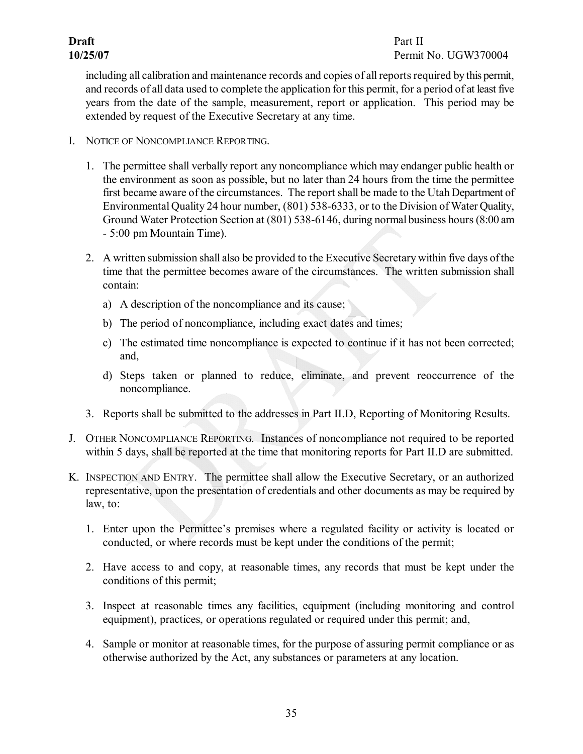<span id="page-38-0"></span>including all calibration and maintenance records and copies of all reports required by this permit, and records of all data used to complete the application for this permit, for a period of at least five years from the date of the sample, measurement, report or application. This period may be extended by request of the Executive Secretary at any time.

- I. NOTICE OF NONCOMPLIANCE REPORTING.
	- 1. The permittee shall verbally report any noncompliance which may endanger public health or the environment as soon as possible, but no later than 24 hours from the time the permittee first became aware of the circumstances. The report shall be made to the Utah Department of Environmental Quality 24 hour number, (801) 538-6333, or to the Division of Water Quality, Ground Water Protection Section at (801) 538-6146, during normal business hours (8:00 am 5:00 pm Mountain Time).
	- 2. A written submission shall also be provided to the Executive Secretary within five days ofthe time that the permittee becomes aware of the circumstances. The written submission shall contain:
		- a) A description of the noncompliance and its cause;
		- b) The period of noncompliance, including exact dates and times;
		- c) The estimated time noncompliance is expected to continue if it has not been corrected; and,
		- d) Steps taken or planned to reduce, eliminate, and prevent reoccurrence of the noncompliance.
	- 3. Reports shall be submitted to the addresses in Part II.D, Reporting of Monitoring Results.
- <span id="page-38-1"></span>J. OTHER NONCOMPLIANCE REPORTING. Instances of noncompliance not required to be reported within 5 days, shall be reported at the time that monitoring reports for Part II.D are submitted.
- <span id="page-38-2"></span>K. INSPECTION AND ENTRY. The permittee shall allow the Executive Secretary, or an authorized representative, upon the presentation of credentials and other documents as may be required by law, to:
	- 1. Enter upon the Permittee's premises where a regulated facility or activity is located or conducted, or where records must be kept under the conditions of the permit;
	- 2. Have access to and copy, at reasonable times, any records that must be kept under the conditions of this permit;
	- 3. Inspect at reasonable times any facilities, equipment (including monitoring and control equipment), practices, or operations regulated or required under this permit; and,
	- 4. Sample or monitor at reasonable times, for the purpose of assuring permit compliance or as otherwise authorized by the Act, any substances or parameters at any location.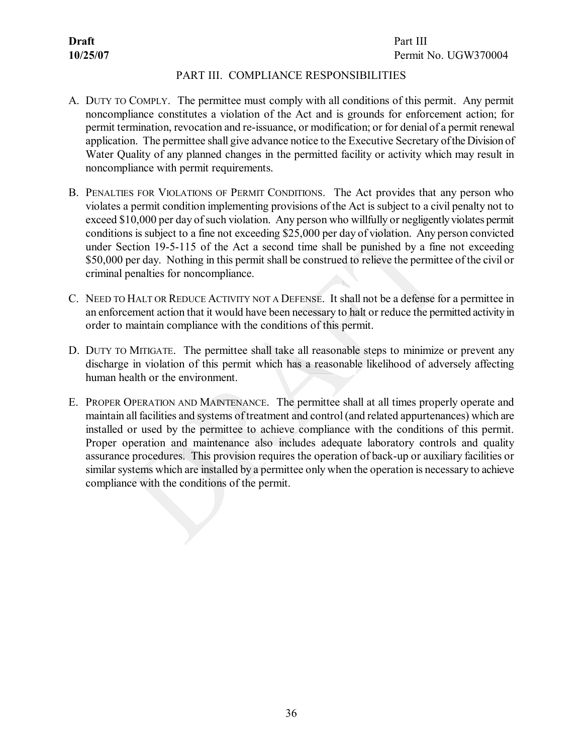#### <span id="page-39-2"></span><span id="page-39-1"></span>PART III. COMPLIANCE RESPONSIBILITIES

- <span id="page-39-0"></span>A. DUTY TO COMPLY. The permittee must comply with all conditions of this permit. Any permit noncompliance constitutes a violation of the Act and is grounds for enforcement action; for permit termination, revocation and re-issuance, or modification; or for denial of a permit renewal application. The permittee shall give advance notice to the Executive Secretary ofthe Division of Water Quality of any planned changes in the permitted facility or activity which may result in noncompliance with permit requirements.
- B. PENALTIES FOR VIOLATIONS OF PERMIT CONDITIONS. The Act provides that any person who violates a permit condition implementing provisions of the Act is subject to a civil penalty not to exceed \$10,000 per day of such violation. Any person who willfully or negligently violates permit conditions is subject to a fine not exceeding \$25,000 per day of violation. Any person convicted under Section 19-5-115 of the Act a second time shall be punished by a fine not exceeding \$50,000 per day. Nothing in this permit shall be construed to relieve the permittee of the civil or criminal penalties for noncompliance.
- <span id="page-39-3"></span>C. NEED TO HALT OR REDUCE ACTIVITY NOT A DEFENSE. It shall not be a defense for a permittee in an enforcement action that it would have been necessary to halt or reduce the permitted activityin order to maintain compliance with the conditions of this permit.
- <span id="page-39-4"></span>D. DUTY TO MITIGATE. The permittee shall take all reasonable steps to minimize or prevent any discharge in violation of this permit which has a reasonable likelihood of adversely affecting human health or the environment.
- <span id="page-39-5"></span>E. PROPER OPERATION AND MAINTENANCE. The permittee shall at all times properly operate and maintain all facilities and systems of treatment and control (and related appurtenances) which are installed or used by the permittee to achieve compliance with the conditions of this permit. Proper operation and maintenance also includes adequate laboratory controls and quality assurance procedures. This provision requires the operation of back-up or auxiliary facilities or similar systems which are installed by a permittee only when the operation is necessary to achieve compliance with the conditions of the permit.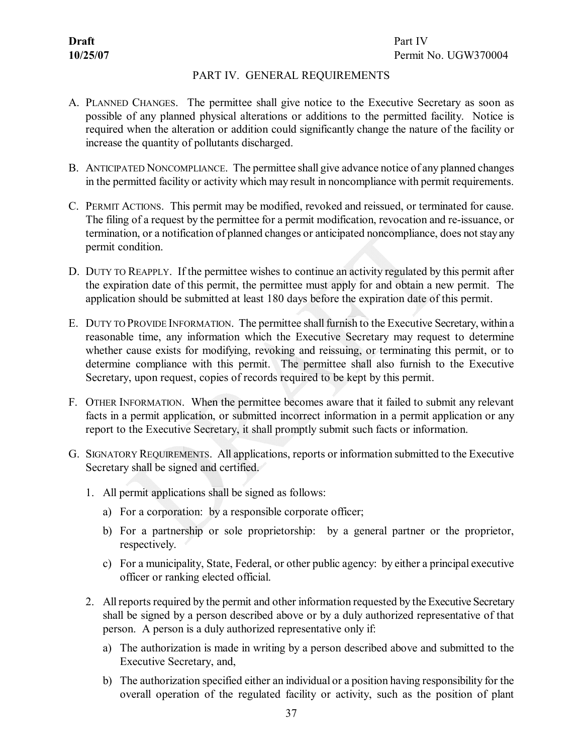#### <span id="page-40-2"></span><span id="page-40-1"></span>PART IV. GENERAL REQUIREMENTS

- <span id="page-40-0"></span>A. PLANNED CHANGES. The permittee shall give notice to the Executive Secretary as soon as possible of any planned physical alterations or additions to the permitted facility. Notice is required when the alteration or addition could significantly change the nature of the facility or increase the quantity of pollutants discharged.
- B. ANTICIPATED NONCOMPLIANCE. The permittee shall give advance notice of any planned changes in the permitted facility or activity which may result in noncompliance with permit requirements.
- <span id="page-40-3"></span>C. PERMIT ACTIONS. This permit may be modified, revoked and reissued, or terminated for cause. The filing of a request by the permittee for a permit modification, revocation and re-issuance, or termination, or a notification of planned changes or anticipated noncompliance, does not stayany permit condition.
- <span id="page-40-4"></span>D. DUTY TO REAPPLY. If the permittee wishes to continue an activity regulated by this permit after the expiration date of this permit, the permittee must apply for and obtain a new permit. The application should be submitted at least 180 days before the expiration date of this permit.
- <span id="page-40-5"></span>E. DUTY TO PROVIDE INFORMATION. The permittee shall furnish to the Executive Secretary, within a reasonable time, any information which the Executive Secretary may request to determine whether cause exists for modifying, revoking and reissuing, or terminating this permit, or to determine compliance with this permit. The permittee shall also furnish to the Executive Secretary, upon request, copies of records required to be kept by this permit.
- <span id="page-40-6"></span>F. OTHER INFORMATION. When the permittee becomes aware that it failed to submit any relevant facts in a permit application, or submitted incorrect information in a permit application or any report to the Executive Secretary, it shall promptly submit such facts or information.
- <span id="page-40-7"></span>G. SIGNATORY REQUIREMENTS. All applications, reports or information submitted to the Executive Secretary shall be signed and certified.
	- 1. All permit applications shall be signed as follows:
		- a) For a corporation: by a responsible corporate officer;
		- b) For a partnership or sole proprietorship: by a general partner or the proprietor, respectively.
		- c) For a municipality, State, Federal, or other public agency: by either a principal executive officer or ranking elected official.
	- 2. All reports required by the permit and other information requested by the Executive Secretary shall be signed by a person described above or by a duly authorized representative of that person. A person is a duly authorized representative only if:
		- a) The authorization is made in writing by a person described above and submitted to the Executive Secretary, and,
		- b) The authorization specified either an individual or a position having responsibility for the overall operation of the regulated facility or activity, such as the position of plant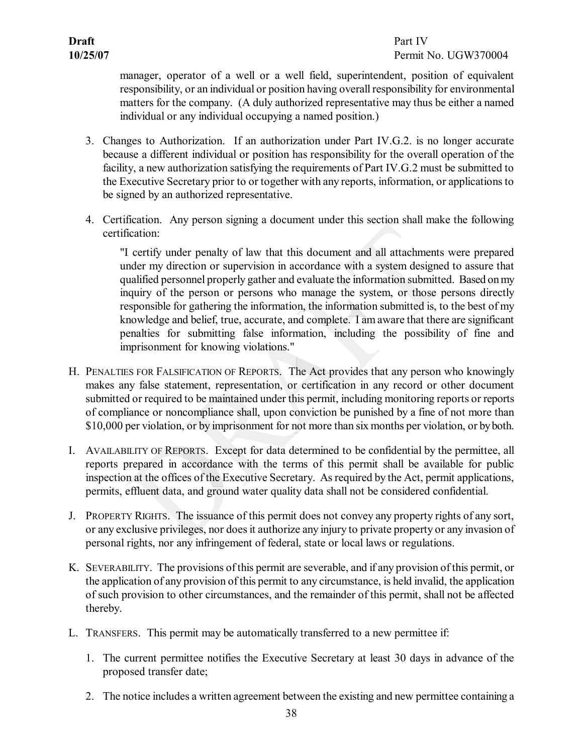manager, operator of a well or a well field, superintendent, position of equivalent responsibility, or an individual or position having overallresponsibility for environmental matters for the company. (A duly authorized representative may thus be either a named individual or any individual occupying a named position.)

- 3. Changes to Authorization. If an authorization under Part IV.G.2. is no longer accurate because a different individual or position has responsibility for the overall operation of the facility, a new authorization satisfying the requirements of Part IV.G.2 must be submitted to the Executive Secretary prior to or together with any reports, information, or applicationsto be signed by an authorized representative.
- 4. Certification. Any person signing a document under this section shall make the following certification:

<span id="page-41-0"></span>"I certify under penalty of law that this document and all attachments were prepared under my direction or supervision in accordance with a system designed to assure that qualified personnel properly gather and evaluate the information submitted. Based onmy inquiry of the person or persons who manage the system, or those persons directly responsible for gathering the information, the information submitted is, to the best of my knowledge and belief, true, accurate, and complete. I am aware that there are significant penalties for submitting false information, including the possibility of fine and imprisonment for knowing violations."

- H. PENALTIES FOR FALSIFICATION OF REPORTS. The Act provides that any person who knowingly makes any false statement, representation, or certification in any record or other document submitted or required to be maintained under this permit, including monitoring reports or reports of compliance or noncompliance shall, upon conviction be punished by a fine of not more than \$10,000 per violation, or by imprisonment for not more than six months per violation, or by both.
- <span id="page-41-1"></span>I. AVAILABILITY OF REPORTS. Except for data determined to be confidential by the permittee, all reports prepared in accordance with the terms of this permit shall be available for public inspection at the offices of the Executive Secretary. Asrequired by the Act, permit applications, permits, effluent data, and ground water quality data shall not be considered confidential.
- <span id="page-41-2"></span>J. PROPERTY RIGHTS. The issuance of this permit does not convey any property rights of any sort, or any exclusive privileges, nor doesit authorize any injury to private property or any invasion of personal rights, nor any infringement of federal, state or local laws or regulations.
- <span id="page-41-3"></span>K. SEVERABILITY. The provisions of this permit are severable, and if any provision of this permit, or the application of any provision of this permit to any circumstance, is held invalid, the application of such provision to other circumstances, and the remainder of this permit, shall not be affected thereby.
- <span id="page-41-4"></span>L. TRANSFERS. This permit may be automatically transferred to a new permittee if:
	- 1. The current permittee notifies the Executive Secretary at least 30 days in advance of the proposed transfer date;
	- 2. The notice includes a written agreement between the existing and new permittee containing a